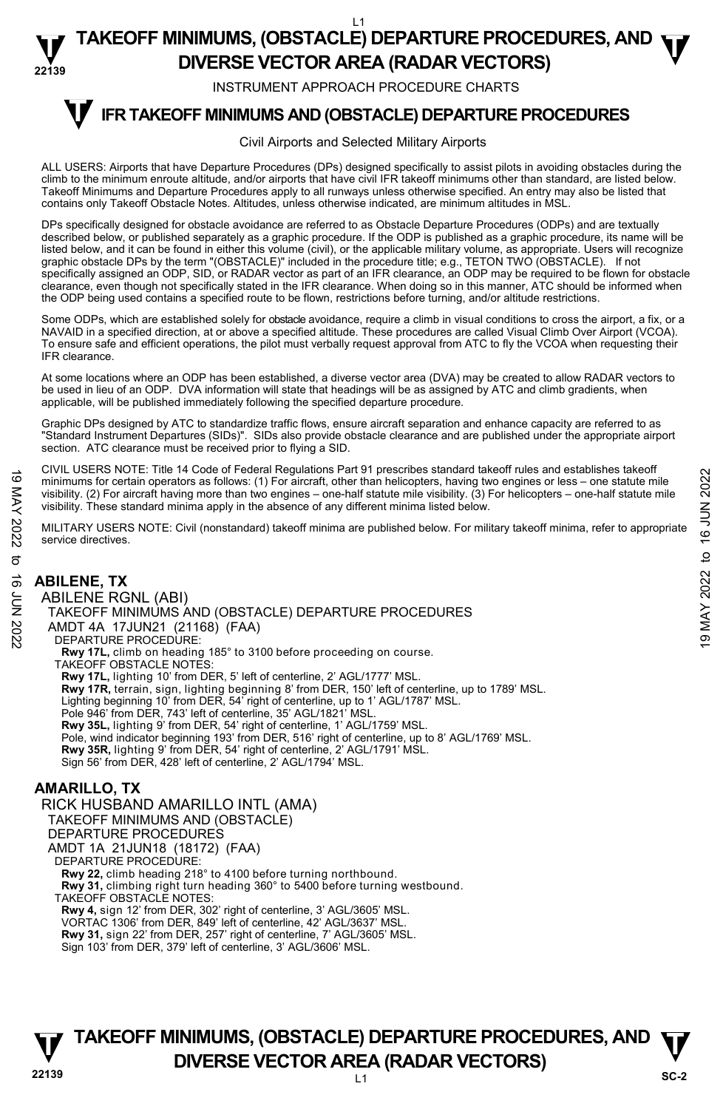INSTRUMENT APPROACH PROCEDURE CHARTS

#### **IFR TAKEOFF MINIMUMS AND (OBSTACLE) DEPARTURE PROCEDURES T**

#### Civil Airports and Selected Military Airports

ALL USERS: Airports that have Departure Procedures (DPs) designed specifically to assist pilots in avoiding obstacles during the climb to the minimum enroute altitude, and/or airports that have civil IFR takeoff minimums other than standard, are listed below. Takeoff Minimums and Departure Procedures apply to all runways unless otherwise specified. An entry may also be listed that contains only Takeoff Obstacle Notes. Altitudes, unless otherwise indicated, are minimum altitudes in MSL.

DPs specifically designed for obstacle avoidance are referred to as Obstacle Departure Procedures (ODPs) and are textually described below, or published separately as a graphic procedure. If the ODP is published as a graphic procedure, its name will be listed below, and it can be found in either this volume (civil), or the applicable military volume, as appropriate. Users will recognize graphic obstacle DPs by the term "(OBSTACLE)" included in the procedure title; e.g., TETON TWO (OBSTACLE). If not specifically assigned an ODP, SID, or RADAR vector as part of an IFR clearance, an ODP may be required to be flown for obstacle clearance, even though not specifically stated in the IFR clearance. When doing so in this manner, ATC should be informed when the ODP being used contains a specified route to be flown, restrictions before turning, and/or altitude restrictions.

Some ODPs, which are established solely for obstacle avoidance, require a climb in visual conditions to cross the airport, a fix, or a NAVAID in a specified direction, at or above a specified altitude. These procedures are called Visual Climb Over Airport (VCOA). To ensure safe and efficient operations, the pilot must verbally request approval from ATC to fly the VCOA when requesting their IFR clearance.

At some locations where an ODP has been established, a diverse vector area (DVA) may be created to allow RADAR vectors to be used in lieu of an ODP. DVA information will state that headings will be as assigned by ATC and climb gradients, when applicable, will be published immediately following the specified departure procedure.

Graphic DPs designed by ATC to standardize traffic flows, ensure aircraft separation and enhance capacity are referred to as "Standard Instrument Departures (SIDs)". SIDs also provide obstacle clearance and are published under the appropriate airport section. ATC clearance must be received prior to flying a SID.

CIVIL USERS NOTE: Title 14 Code of Federal Regulations Part 91 prescribes standard takeoff rules and establishes takeoff minimums for certain operators as follows: (1) For aircraft, other than helicopters, having two engines or less – one statute mile visibility. (2) For aircraft having more than two engines – one-half statute mile visibility. (3) For helicopters – one-half statute mile visibility. These standard minima apply in the absence of any different minima listed below.

MILITARY USERS NOTE: Civil (nonstandard) takeoff minima are published below. For military takeoff minima, refer to appropriate service directives.

# **ABILENE, TX**

ABILENE RGNL (ABI) TAKEOFF MINIMUMS AND (OBSTACLE) DEPARTURE PROCEDURES AMDT 4A 17JUN21 (21168) (FAA) DEPARTURE PROCEDURE: **Rwy 17L,** climb on heading 185° to 3100 before proceeding on course. TAKEOFF OBSTACLE NOTES: **Rwy 17L,** lighting 10' from DER, 5' left of centerline, 2' AGL/1777' MSL. **Rwy 17R,** terrain, sign, lighting beginning 8' from DER, 150' left of centerline, up to 1789' MSL. Lighting beginning 10' from DER, 54' right of centerline, up to 1' AGL/1787' MSL. Pole 946' from DER, 743' left of centerline, 35' AGL/1821' MSL. **Rwy 35L,** lighting 9' from DER, 54' right of centerline, 1' AGL/1759' MSL. Pole, wind indicator beginning 193' from DER, 516' right of centerline, up to 8' AGL/1769' MSL. **Rwy 35R,** lighting 9' from DER, 54' right of centerline, 2' AGL/1791' MSL. Sign 56' from DER, 428' left of centerline, 2' AGL/1794' MSL. FOR MARINE PROCEDURES<br>
TRINCIPLE TIME 14 COURT CONTROL (THE COURT OF DEPARTURE PROCEDURES<br>
MILITARY USERS NOTE: Civil (nonstandard) takeoff minima are published below.<br>
MILITARY USERS NOTE: Civil (nonstandard) takeoff mi

### **AMARILLO, TX**

RICK HUSBAND AMARILLO INTL (AMA) TAKEOFF MINIMUMS AND (OBSTACLE) DEPARTURE PROCEDURES AMDT 1A 21JUN18 (18172) (FAA) DEPARTURE PROCEDURE: **Rwy 22,** climb heading 218° to 4100 before turning northbound. **Rwy 31,** climbing right turn heading 360° to 5400 before turning westbound. TAKEOFF OBSTACLE NOTES: **Rwy 4,** sign 12' from DER, 302' right of centerline, 3' AGL/3605' MSL. VORTAC 1306' from DER, 849' left of centerline, 42' AGL/3637' MSL.

**Rwy 31,** sign 22' from DER, 257' right of centerline, 7' AGL/3605' MSL. Sign 103' from DER, 379' left of centerline, 3' AGL/3606' MSL.

# **22139** L1 **TAKEOFF MINIMUMS, (OBSTACLE) DEPARTURE PROCEDURES, AND**  $\Psi$ **DIVERSE VECTOR AREA (RADAR VECTORS)** SC-2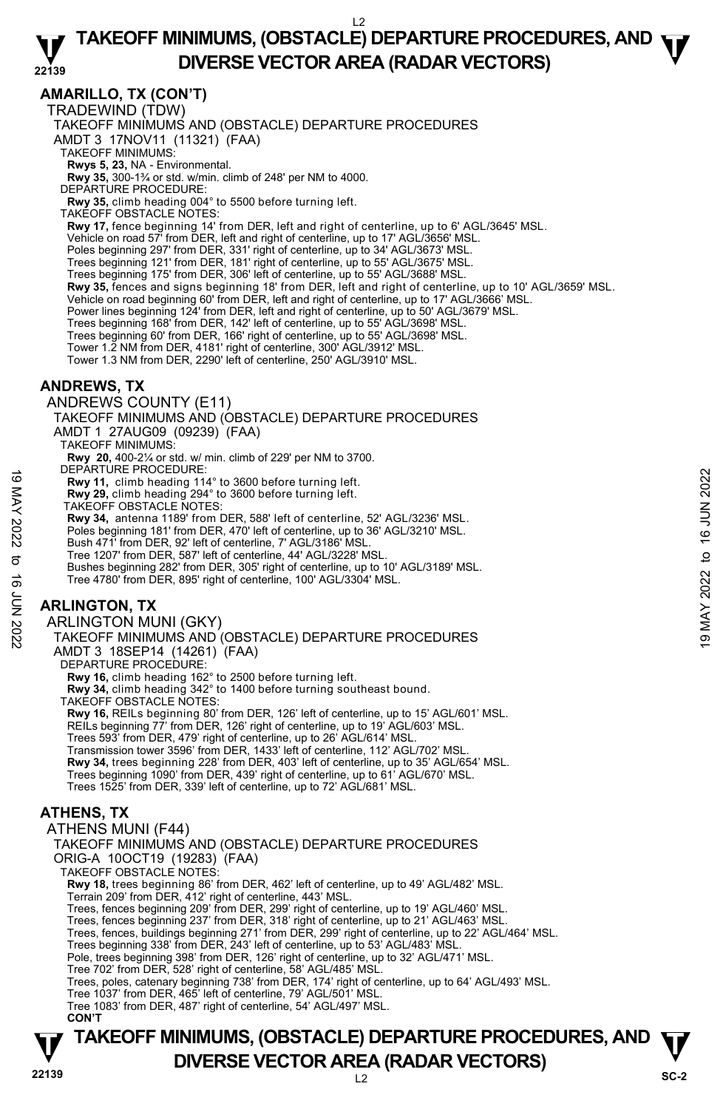#### **22139 TAKEOFF MINIMUMS, (OBSTACLE) DEPARTURE PROCEDURES, AND**  $\Psi$ **DIVERSE VECTOR AREA (RADAR VECTORS)**

### **AMARILLO, TX (CON'T)**

TRADEWIND (TDW)

TAKEOFF MINIMUMS AND (OBSTACLE) DEPARTURE PROCEDURES

AMDT 3 17NOV11 (11321) (FAA)

TAKEOFF MINIMUMS:

**Rwys 5, 23,** NA - Environmental.<br>**Rwy 35,** 300-1¾ or std. w/min. climb of 248' per NM to 4000.

DEPARTURE PROCEDURE:

**Rwy 35,** climb heading 004° to 5500 before turning left.

TAKEOFF OBSTACLE NOTES:

**Rwy 17,** fence beginning 14' from DER, left and right of centerline, up to 6' AGL/3645' MSL.

Vehicle on road 57' from DER, left and right of centerline, up to 17' AGL/3656' MSL.

Poles beginning 297' from DER, 331' right of centerline, up to 34' AGL/3673' MSL. Trees beginning 121' from DER, 181' right of centerline, up to 55' AGL/3675' MSL.

Trees beginning 175' from DER, 306' left of centerline, up to 55' AGL/3688' MSL.

**Rwy 35,** fences and signs beginning 18' from DER, left and right of centerline, up to 10' AGL/3659' MSL.<br>Vehicle on road beginning 60' from DER, left and right of centerline, up to 17' AGL/3666' MSL.

Power lines beginning 124' from DER, left and right of centerline, up to 50' AGL/3679' MSL.

Trees beginning 168' from DER, 142' left of centerline, up to 55' AGL/3698' MSL.

Trees beginning 60' from DER, 166' right of centerline, up to 55' AGL/3698' MSL. Tower 1.2 NM from DER, 4181' right of centerline, 300' AGL/3912' MSL.

Tower 1.3 NM from DER, 2290' left of centerline, 250' AGL/3910' MSL.

#### **ANDREWS, TX**

ANDREWS COUNTY (E11)

TAKEOFF MINIMUMS AND (OBSTACLE) DEPARTURE PROCEDURES AMDT 1 27AUG09 (09239) (FAA) TAKEOFF MINIMUMS:

**Rwy 20,** 400-2¼ or std. w/ min. climb of 229' per NM to 3700. DEPARTURE PROCEDURE:

**Rwy 11,** climb heading 114° to 3600 before turning left.

**Rwy 29,** climb heading 294° to 3600 before turning left. TAKEOFF OBSTACLE NOTES:

**Rwy 34,** antenna 1189' from DER, 588' left of centerline, 52' AGL/3236' MSL.

Poles beginning 181' from DER, 470' left of centerline, up to 36' AGL/3210' MSL.

Bush 471' from DER, 92' left of centerline, 7' AGL/3186' MSL.

Tree 1207' from DER, 587' left of centerline, 44' AGL/3228' MSL.

Bushes beginning 282' from DER, 305' right of centerline, up to 10' AGL/3189' MSL. Tree 4780' from DER, 895' right of centerline, 100' AGL/3304' MSL. EVERATIONE PROCEDURES<br>
Here are allowed:<br>
Take Drive 29, climb heading 194° to 3600 before turning left.<br>
TAKEDFF OBSTACLE NOTES:<br>
TARLINGTON, 92' left of centerline, 52' AGL/3236' MSL.<br>
Poles beginning 181' from DER, 470

# **ARLINGTON, TX**

ARLINGTON MUNI (GKY)

TAKEOFF MINIMUMS AND (OBSTACLE) DEPARTURE PROCEDURES AMDT 3 18SEP14 (14261) (FAA)

DEPARTURE PROCEDURE:

**Rwy 16,** climb heading 162° to 2500 before turning left.

**Rwy 34,** climb heading 342° to 1400 before turning southeast bound.

TAKEOFF OBSTACLE NOTES:

**Rwy 16,** REILs beginning 80' from DER, 126' left of centerline, up to 15' AGL/601' MSL.

REILs beginning 77' from DER, 126' right of centerline, up to 19' AGL/603' MSL.

Trees 593' from DER, 479' right of centerline, up to 26' AGL/614' MSL.

Transmission tower 3596' from DER, 1433' left of centerline, 112' AGL/702' MSL.

**Rwy 34,** trees beginning 228' from DER, 403' left of centerline, up to 35' AGL/654' MSL.

Trees beginning 1090' from DER, 439' right of centerline, up to 61' AGL/670' MSL.

Trees 1525' from DER, 339' left of centerline, up to 72' AGL/681' MSL.

# **ATHENS, TX**

ATHENS MUNI (F44) TAKEOFF MINIMUMS AND (OBSTACLE) DEPARTURE PROCEDURES ORIG-A 10OCT19 (19283) (FAA) TAKEOFF OBSTACLE NOTES: **Rwy 18,** trees beginning 86' from DER, 462' left of centerline, up to 49' AGL/482' MSL. Terrain 209' from DER, 412' right of centerline, 443' MSL. Trees, fences beginning 209' from DER, 299' right of centerline, up to 19' AGL/460' MSL. Trees, fences beginning 237' from DER, 318' right of centerline, up to 21' AGL/463' MSL. Trees, fences, buildings beginning 271' from DER, 299' right of centerline, up to 22' AGL/464' MSL. Trees beginning 338' from DER, 243' left of centerline, up to 53' AGL/483' MSL. Pole, trees beginning 398' from DER, 126' right of centerline, up to 32' AGL/471' MSL. Tree 702' from DER, 528' right of centerline, 58' AGL/485' MSL. Trees, poles, catenary beginning 738' from DER, 174' right of centerline, up to 64' AGL/493' MSL. Tree 1037' from DER, 465' left of centerline, 79' AGL/501' MSL. Tree 1083' from DER, 487' right of centerline, 54' AGL/497' MSL.  **CON'T** 

# **22139** L2 **TAKEOFF MINIMUMS, (OBSTACLE) DEPARTURE PROCEDURES, AND**  $\Psi$ **DIVERSE VECTOR AREA (RADAR VECTORS)** SC-2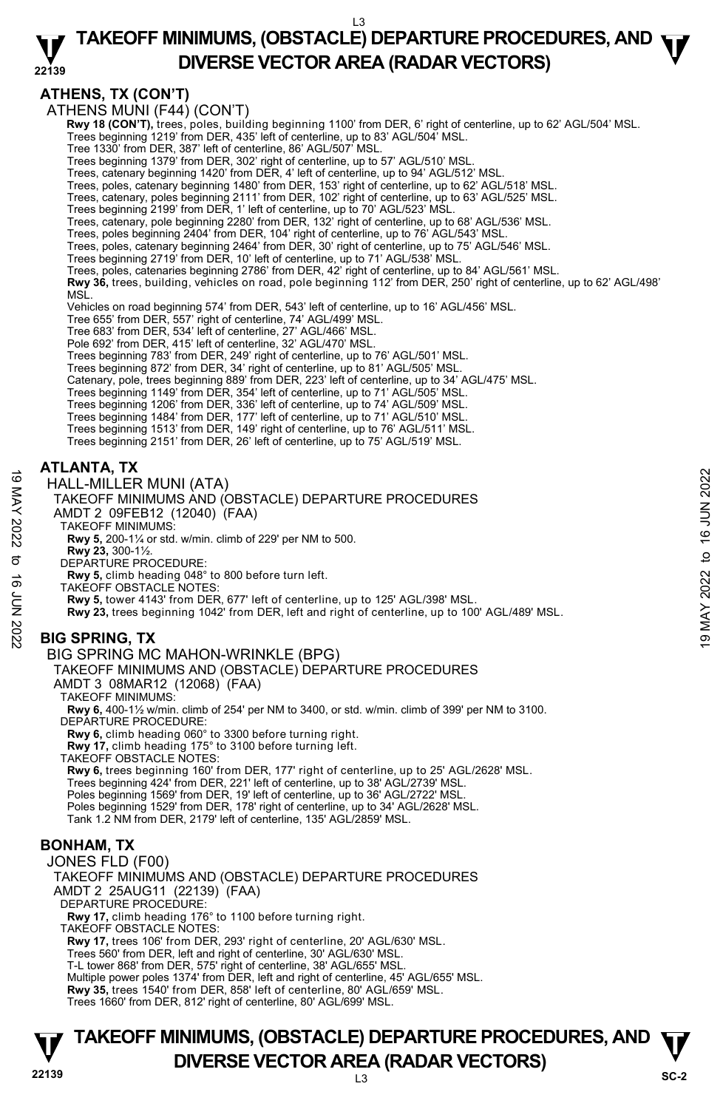**ATHENS, TX (CON'T)** 

ATHENS MUNI (F44) (CON'T)

 **Rwy 18 (CON'T),** trees, poles, building beginning 1100' from DER, 6' right of centerline, up to 62' AGL/504' MSL.

Trees beginning 1219' from DER, 435' left of centerline, up to 83' AGL/504' MSL. Tree 1330' from DER, 387' left of centerline, 86' AGL/507' MSL.

Trees beginning 1379' from DER, 302' right of centerline, up to 57' AGL/510' MSL.

Trees, catenary beginning 1420' from DER, 4' left of centerline, up to 94' AGL/512' MSL.

Trees, poles, catenary beginning 1480' from DER, 153' right of centerline, up to 62' AGL/518' MSL. Trees, catenary, poles beginning 2111' from DER, 102' right of centerline, up to 63' AGL/525' MSL.

Trees beginning 2199' from DER, 1' left of centerline, up to 70' AGL/523' MSL.<br>Trees, catenary, pole beginning 2280' from DER, 132' right of centerline, up to 68' AGL/536' MSL.

Trees, poles beginning 2404' from DER, 104' right of centerline, up to 76' AGL/543' MSL.

Trees, poles, catenary beginning 2464' from DER, 30' right of centerline, up to 75' AGL/546' MSL.<br>Trees beginning 2719' from DER, 10' left of centerline, up to 71' AGL/538' MSL.

Trees, poles, catenaries beginning 2786' from DER, 42' right of centerline, up to 84' AGL/561' MSL.

**Rwy 36,** trees, building, vehicles on road, pole beginning 112' from DER, 250' right of centerline, up to 62' AGL/498' MSL.

Vehicles on road beginning 574' from DER, 543' left of centerline, up to 16' AGL/456' MSL.

Tree 655' from DER, 557' right of centerline, 74' AGL/499' MSL.

Tree 683' from DER, 534' left of centerline, 27' AGL/466' MSL.

Pole 692' from DER, 415' left of centerline, 32' AGL/470' MSL.

Trees beginning 783' from DER, 249' right of centerline, up to 76' AGL/501' MSL.

Trees beginning 872' from DER, 34' right of centerline, up to 81' AGL/505' MSL. Catenary, pole, trees beginning 889' from DER, 223' left of centerline, up to 34' AGL/475' MSL.

Trees beginning 1149' from DER, 354' left of centerline, up to 71' AGL/505' MSL.

Trees beginning 1206' from DER, 336' left of centerline, up to 74' AGL/509' MSL.

Trees beginning 1484' from DER, 177' left of centerline, up to 71' AGL/510' MSL. Trees beginning 1513' from DER, 149' right of centerline, up to 76' AGL/511' MSL.

Trees beginning 2151' from DER, 26' left of centerline, up to 75' AGL/519' MSL.

#### **ATLANTA, TX**

HALL-MILLER MUNI (ATA)

TAKEOFF MINIMUMS AND (OBSTACLE) DEPARTURE PROCEDURES 19<br>
HALL-MILLER MUNI (ATA)<br>
TAKEOFF MINIMUMS AND (OBSTACLE) DEPARTURE PROCEDURES<br>
AMDT 2 09FEB12 (12040) (FAA)<br>
TAKEOFF MINIMUMS:<br>
TAKEOFF MINIMUMS:<br>
RWY 5, 010-1½ or std. w/min. climb of 229' per NM to 500.<br>
RWY 23, 300-

AMDT 2 09FEB12 (12040) (FAA)

TAKEOFF MINIMUMS:

**Rwy 5,** 200-1¼ or std. w/min. climb of 229' per NM to 500.

**Rwy 23,** 300-1½. DEPARTURE PROCEDURE:

**Rwy 5,** climb heading 048° to 800 before turn left.

TAKEOFF OBSTACLE NOTES:

**Rwy 5,** tower 4143' from DER, 677' left of centerline, up to 125' AGL/398' MSL.

**Rwy 23,** trees beginning 1042' from DER, left and right of centerline, up to 100' AGL/489' MSL.

### **BIG SPRING, TX**

#### BIG SPRING MC MAHON-WRINKLE (BPG)

TAKEOFF MINIMUMS AND (OBSTACLE) DEPARTURE PROCEDURES

AMDT 3 08MAR12 (12068) (FAA)

TAKEOFF MINIMUMS:

**Rwy 6,** 400-1½ w/min. climb of 254' per NM to 3400, or std. w/min. climb of 399' per NM to 3100. DEPARTURE PROCEDURE:

**Rwy 6,** climb heading 060° to 3300 before turning right.

**Rwy 17,** climb heading 175° to 3100 before turning left. TAKEOFF OBSTACLE NOTES:

**Rwy 6,** trees beginning 160' from DER, 177' right of centerline, up to 25' AGL/2628' MSL. Trees beginning 424' from DER, 221' left of centerline, up to 38' AGL/2739' MSL. Poles beginning 1569' from DER, 19' left of centerline, up to 36' AGL/2722' MSL. Poles beginning 1529' from DER, 178' right of centerline, up to 34' AGL/2628' MSL. Tank 1.2 NM from DER, 2179' left of centerline, 135' AGL/2859' MSL.

#### **BONHAM, TX**

JONES FLD (F00) TAKEOFF MINIMUMS AND (OBSTACLE) DEPARTURE PROCEDURES AMDT 2 25AUG11 (22139) (FAA) DEPARTURE PROCEDURE: **Rwy 17,** climb heading 176° to 1100 before turning right. TAKEOFF OBSTACLE NOTES: **Rwy 17,** trees 106' from DER, 293' right of centerline, 20' AGL/630' MSL. Trees 560' from DER, left and right of centerline, 30' AGL/630' MSL. T-L tower 868' from DER, 575' right of centerline, 38' AGL/655' MSL. Multiple power poles 1374' from DER, left and right of centerline, 45' AGL/655' MSL. **Rwy 35,** trees 1540' from DER, 858' left of centerline, 80' AGL/659' MSL.

Trees 1660' from DER, 812' right of centerline, 80' AGL/699' MSL.

**22139** L3 **TAKEOFF MINIMUMS, (OBSTACLE) DEPARTURE PROCEDURES, AND**  $\Psi$ **DIVERSE VECTOR AREA (RADAR VECTORS)** Sc-2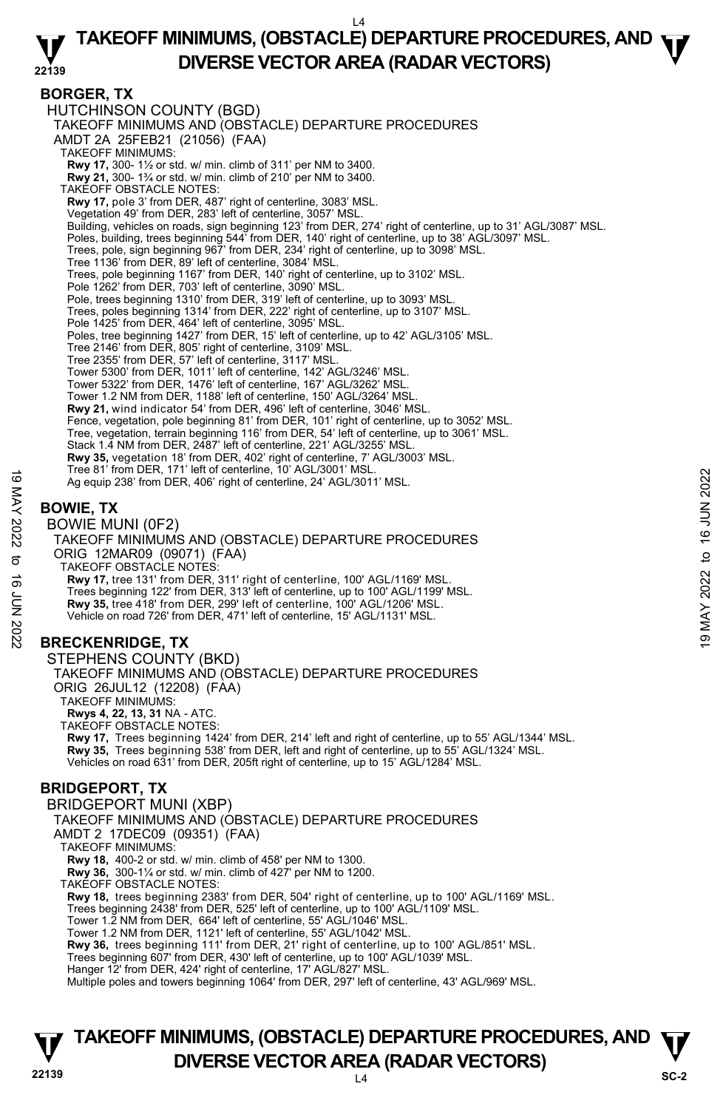#### **22139 TAKEOFF MINIMUMS, (OBSTACLE) DEPARTURE PROCEDURES, AND**  $\Psi$ **DIVERSE VECTOR AREA (RADAR VECTORS)**

#### **BORGER, TX**

HUTCHINSON COUNTY (BGD) TAKEOFF MINIMUMS AND (OBSTACLE) DEPARTURE PROCEDURES AMDT 2A 25FEB21 (21056) (FAA) TAKEOFF MINIMUMS: **Rwy 17,** 300- 1½ or std. w/ min. climb of 311' per NM to 3400. **Rwy 21,** 300- 1¾ or std. w/ min. climb of 210' per NM to 3400. TAKEOFF OBSTACLE NOTES: **Rwy 17,** pole 3' from DER, 487' right of centerline, 3083' MSL. Vegetation 49' from DER, 283' left of centerline, 3057' MSL. Building, vehicles on roads, sign beginning 123' from DER, 274' right of centerline, up to 31' AGL/3087' MSL. Poles, building, trees beginning 544' from DER, 140' right of centerline, up to 38' AGL/3097' MSL.<br>Trees, pole, sign beginning 967' from DER, 234' right of centerline, up to 3098' MSL.<br>Tree 1136' from DER, 89' left of cent Trees, pole beginning 1167' from DER, 140' right of centerline, up to 3102' MSL. Pole 1262' from DER, 703' left of centerline, 3090' MSL. Pole, trees beginning 1310' from DER, 319' left of centerline, up to 3093' MSL. Trees, poles beginning 1314' from DER, 222' right of centerline, up to 3107' MSL. Pole 1425' from DER, 464' left of centerline, 3095' MSL. Poles, tree beginning 1427' from DER, 15' left of centerline, up to 42' AGL/3105' MSL. Tree 2146' from DER, 805' right of centerline, 3109' MSL. Tree 2355' from DER, 57' left of centerline, 3117' MSL. Tower 5300' from DER, 1011' left of centerline, 142' AGL/3246' MSL. Tower 5322' from DER, 1476' left of centerline, 167' AGL/3262' MSL. Tower 1.2 NM from DER, 1188' left of centerline, 150' AGL/3264' MSL. **Rwy 21,** wind indicator 54' from DER, 496' left of centerline, 3046' MSL. Fence, vegetation, pole beginning 81' from DER, 101' right of centerline, up to 3052' MSL. Tree, vegetation, terrain beginning 116' from DER, 54' left of centerline, up to 3061' MSL. Stack 1.4 NM from DER, 2487' left of centerline, 221' AGL/3255' MSL. **Rwy 35,** vegetation 18' from DER, 402' right of centerline, 7' AGL/3003' MSL.<br>Tree 81' from DER, 171' left of centerline, 10' AGL/3001' MSL. Ag equip 238' from DER, 406' right of centerline, 24' AGL/3011' MSL. **BOWIE, TX**  BOWIE MUNI (0F2) TAKEOFF MINIMUMS AND (OBSTACLE) DEPARTURE PROCEDURES ORIG 12MAR09 (09071) (FAA) TAKEOFF OBSTACLE NOTES: **Rwy 17,** tree 131' from DER, 311' right of centerline, 100' AGL/1169' MSL. Trees beginning 122' from DER, 313' left of centerline, up to 100' AGL/1199' MSL. **Rwy 35,** tree 418' from DER, 299' left of centerline, 100' AGL/1206' MSL. Vehicle on road 726' from DER, 471' left of centerline, 15' AGL/1131' MSL. **BRECKENRIDGE, TX**  STEPHENS COUNTY (BKD) TAKEOFF MINIMUMS AND (OBSTACLE) DEPARTURE PROCEDURES ORIG 26JUL12 (12208) (FAA) TAKEOFF MINIMUMS: **Rwys 4, 22, 13, 31** NA - ATC. TAKEOFF OBSTACLE NOTES: **Rwy 17,** Trees beginning 1424' from DER, 214' left and right of centerline, up to 55' AGL/1344' MSL. **Rwy 35,** Trees beginning 538' from DER, left and right of centerline, up to 55' AGL/1324' MSL. Vehicles on road 631' from DER, 205ft right of centerline, up to 15' AGL/1284' MSL. **BRIDGEPORT, TX**  BRIDGEPORT MUNI (XBP) TAKEOFF MINIMUMS AND (OBSTACLE) DEPARTURE PROCEDURES AMDT 2 17DEC09 (09351) (FAA) TAKEOFF MINIMUMS: **Rwy 18,** 400-2 or std. w/ min. climb of 458' per NM to 1300. **Rwy 36,** 300-1¼ or std. w/ min. climb of 427' per NM to 1200. TAKEOFF OBSTACLE NOTES: **Rwy 18,** trees beginning 2383' from DER, 504' right of centerline, up to 100' AGL/1169' MSL. Trees beginning 2438' from DER, 525' left of centerline, up to 100' AGL/1109' MSL. Tower 1.2 NM from DER, 664' left of centerline, 55' AGL/1046' MSL. 19 May 2022 form DER, 406' right of centerline, 10' AGL/3011' MSL.<br>
Age equip 238' from DER, 406' right of centerline, 24' AGL/3011' MSL.<br>
BOWIE, TX<br>
BOWIE MUNI (OF2)<br>
TAKEOFF MINIMUMS AND (OBSTACLE) DEPARTURE PROCEDURES<br>

Tower 1.2 NM from DER, 1121' left of centerline, 55' AGL/1042' MSL.

**Rwy 36,** trees beginning 111' from DER, 21' right of centerline, up to 100' AGL/851' MSL.

Trees beginning 607' from DER, 430' left of centerline, up to 100' AGL/1039' MSL.

Hanger 12' from DER, 424' right of centerline, 17' AGL/827' MSL.

Multiple poles and towers beginning 1064' from DER, 297' left of centerline, 43' AGL/969' MSL.

# **22139** L4 **TAKEOFF MINIMUMS, (OBSTACLE) DEPARTURE PROCEDURES, AND**  $\Psi$ **DIVERSE VECTOR AREA (RADAR VECTORS)** SC-2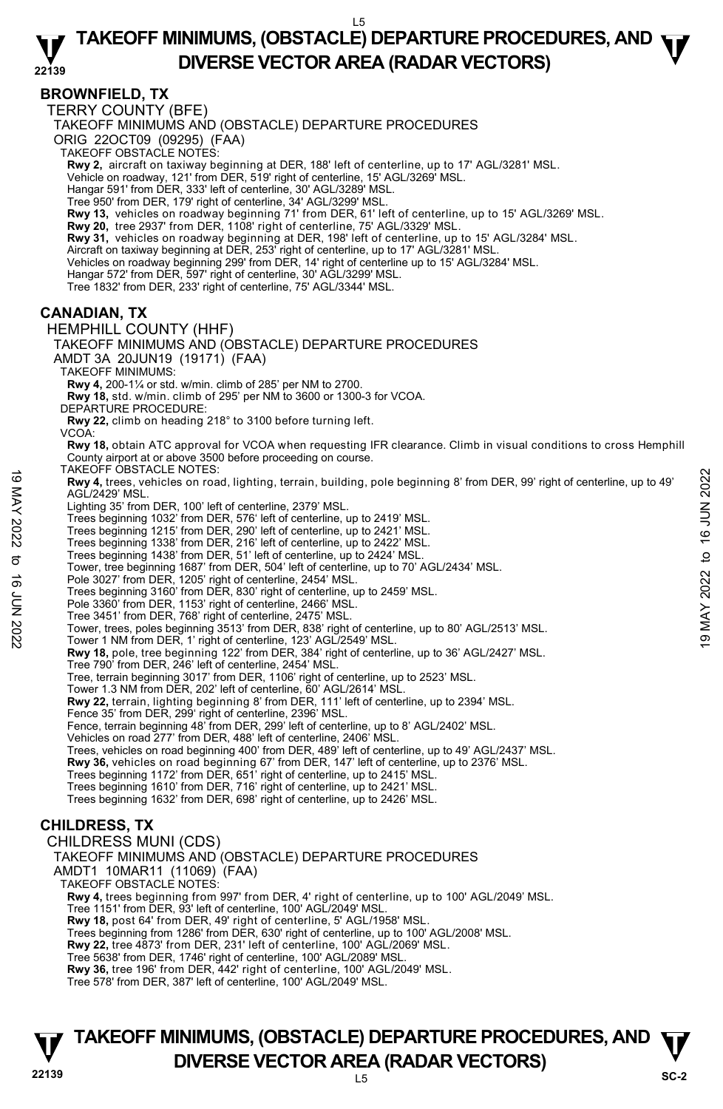#### **22139 TAKEOFF MINIMUMS, (OBSTACLE) DEPARTURE PROCEDURES, AND**  $\Psi$ **DIVERSE VECTOR AREA (RADAR VECTORS)**

# **BROWNFIELD, TX**

TERRY COUNTY (BFE)

TAKEOFF MINIMUMS AND (OBSTACLE) DEPARTURE PROCEDURES

ORIG 22OCT09 (09295) (FAA)

TAKEOFF OBSTACLE NOTES:

**Rwy 2,** aircraft on taxiway beginning at DER, 188' left of centerline, up to 17' AGL/3281' MSL.<br>Vehicle on roadway, 121' from DER, 519' right of centerline, 15' AGL/3269' MSL.

Hangar 591' from DER, 333' left of centerline, 30' AGL/3289' MSL.

Tree 950' from DER, 179' right of centerline, 34' AGL/3299' MSL.

**Rwy 13,** vehicles on roadway beginning 71' from DER, 61' left of centerline, up to 15' AGL/3269' MSL.<br>**Rwy 20,** tree 2937' from DER, 1108' right of centerline, 75' AGL/3329' MSL.

**Rwy 31,** vehicles on roadway beginning at DER, 198' left of centerline, up to 15' AGL/3284' MSL.

Aircraft on taxiway beginning at DER, 253' right of centerline, up to 17' AGL/3281' MSL.

Vehicles on roadway beginning 299' from DER, 14' right of centerline up to 15' AGL/3284' MSL.

Hangar 572' from DER, 597' right of centerline, 30' AGL/3299' MSL.

Tree 1832' from DER, 233' right of centerline, 75' AGL/3344' MSL.

#### **CANADIAN, TX**

HEMPHILL COUNTY (HHF) TAKEOFF MINIMUMS AND (OBSTACLE) DEPARTURE PROCEDURES

AMDT 3A 20JUN19 (19171) (FAA)

TAKEOFF MINIMUMS:

**Rwy 4,** 200-1¼ or std. w/min. climb of 285' per NM to 2700.

**Rwy 18,** std. w/min. climb of 295' per NM to 3600 or 1300-3 for VCOA.

DEPARTURE PROCEDURE:

**Rwy 22,** climb on heading 218° to 3100 before turning left. VCOA:

**Rwy 18,** obtain ATC approval for VCOA when requesting IFR clearance. Climb in visual conditions to cross Hemphill County airport at or above 3500 before proceeding on course.

TAKEOFF OBSTACLE NOTES:

**Rwy 4,** trees, vehicles on road, lighting, terrain, building, pole beginning 8' from DER, 99' right of centerline, up to 49' AGL/2429' MSL. TANCUT UNIXELE IVITES, vehicles on road, lighting, terrain, building, pole beginning 8' from DER, 99' right of centerline, up to 49'<br>
AGL/2429' MSL.<br>
Lighting 35' from DER, 100' left of centerline, up to 2419' MSL.<br>
Trees

Lighting 35' from DER, 100' left of centerline, 2379' MSL.

Trees beginning 1032' from DER, 576' left of centerline, up to 2419' MSL.

Trees beginning 1215' from DER, 290' left of centerline, up to 2421' MSL.

Trees beginning 1338' from DER, 216' left of centerline, up to 2422' MSL.

Trees beginning 1438' from DER, 51' left of centerline, up to 2424' MSL.

Tower, tree beginning 1687' from DER, 504' left of centerline, up to 70' AGL/2434' MSL.

Pole 3027' from DER, 1205' right of centerline, 2454' MSL. Trees beginning 3160' from DER, 830' right of centerline, up to 2459' MSL.

Pole 3360' from DER, 1153' right of centerline, 2466' MSL.

Tree 3451' from DER, 768' right of centerline, 2475' MSL.

**Rwy 18,** pole, tree beginning 122' from DER, 384' right of centerline, up to 36' AGL/2427' MSL. Tree 790' from DER, 246' left of centerline, 2454' MSL.

Tree, terrain beginning 3017' from DER, 1106' right of centerline, up to 2523' MSL.

Tower 1.3 NM from DER, 202' left of centerline, 60' AGL/2614' MSL.

**Rwy 22,** terrain, lighting beginning 8' from DER, 111' left of centerline, up to 2394' MSL. Fence 35' from DER, 299' right of centerline, 2396' MSL.

Fence, terrain beginning 48' from DER, 299' left of centerline, up to 8' AGL/2402' MSL.

Vehicles on road 277' from DER, 488' left of centerline, 2406' MSL.

Trees, vehicles on road beginning 400' from DER, 489' left of centerline, up to 49' AGL/2437' MSL.

**Rwy 36,** vehicles on road beginning 67' from DER, 147' left of centerline, up to 2376' MSL.

Trees beginning 1172' from DER, 651' right of centerline, up to 2415' MSL.

Trees beginning 1610' from DER, 716' right of centerline, up to 2421' MSL.

Trees beginning 1632' from DER, 698' right of centerline, up to 2426' MSL.

# **CHILDRESS, TX**

CHILDRESS MUNI (CDS) TAKEOFF MINIMUMS AND (OBSTACLE) DEPARTURE PROCEDURES AMDT1 10MAR11 (11069) (FAA) TAKEOFF OBSTACLE NOTES: **Rwy 4,** trees beginning from 997' from DER, 4' right of centerline, up to 100' AGL/2049' MSL. Tree 1151' from DER, 93' left of centerline, 100' AGL/2049' MSL. **Rwy 18,** post 64' from DER, 49' right of centerline, 5' AGL/1958' MSL. Trees beginning from 1286' from DER, 630' right of centerline, up to 100' AGL/2008' MSL. **Rwy 22,** tree 4873' from DER, 231' left of centerline, 100' AGL/2069' MSL. Tree 5638' from DER, 1746' right of centerline, 100' AGL/2089' MSL. **Rwy 36,** tree 196' from DER, 442' right of centerline, 100' AGL/2049' MSL. Tree 578' from DER, 387' left of centerline, 100' AGL/2049' MSL.

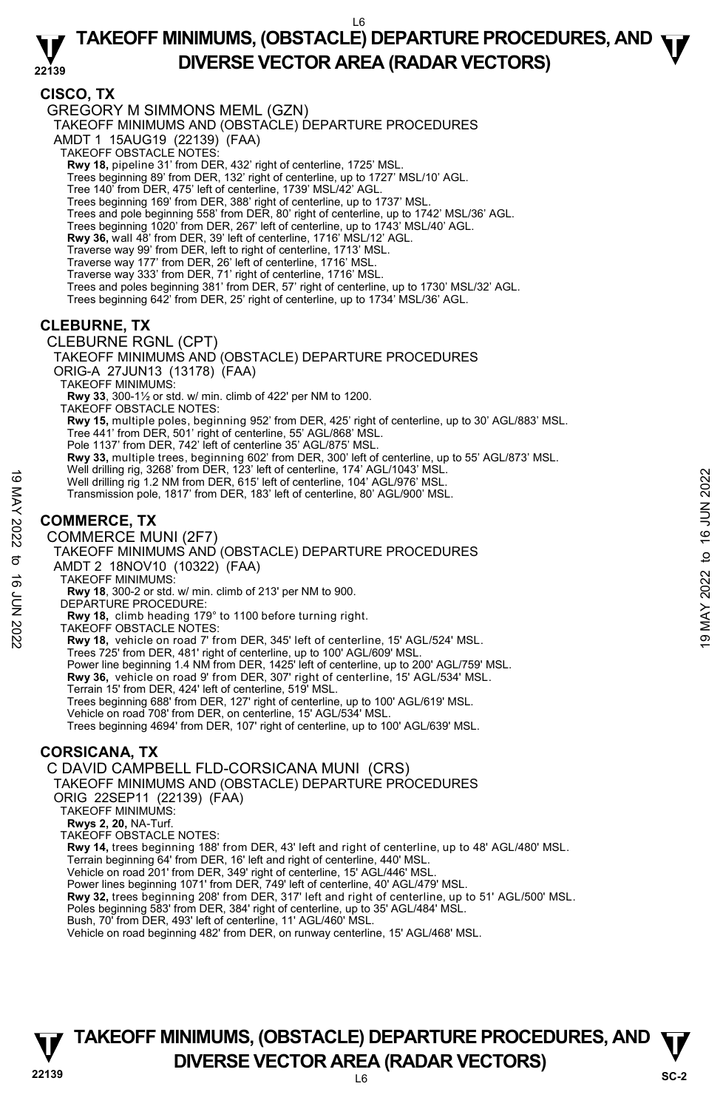### **CISCO, TX**

GREGORY M SIMMONS MEML (GZN)

TAKEOFF MINIMUMS AND (OBSTACLE) DEPARTURE PROCEDURES

AMDT 1 15AUG19 (22139) (FAA)

- TAKEOFF OBSTACLE NOTES:
- **Rwy 18,** pipeline 31' from DER, 432' right of centerline, 1725' MSL.

Trees beginning 89' from DER, 132' right of centerline, up to 1727' MSL/10' AGL.

- Tree 140' from DER, 475' left of centerline, 1739' MSL/42' AGL.
- Trees beginning 169' from DER, 388' right of centerline, up to 1737' MSL.
- Trees and pole beginning 558' from DER, 80' right of centerline, up to 1742' MSL/36' AGL.
- Trees beginning 1020' from DER, 267' left of centerline, up to 1743' MSL/40' AGL.
- **Rwy 36,** wall 48' from DER, 39' left of centerline, 1716' MSL/12' AGL.

Traverse way 99' from DER, left to right of centerline, 1713' MSL.

- Traverse way 177' from DER, 26' left of centerline, 1716' MSL.
- Traverse way 333' from DER, 71' right of centerline, 1716' MSL.
- Trees and poles beginning 381' from DER, 57' right of centerline, up to 1730' MSL/32' AGL.
- Trees beginning 642' from DER, 25' right of centerline, up to 1734' MSL/36' AGL.

#### **CLEBURNE, TX**

CLEBURNE RGNL (CPT)

TAKEOFF MINIMUMS AND (OBSTACLE) DEPARTURE PROCEDURES

ORIG-A 27JUN13 (13178) (FAA)

TAKEOFF MINIMUMS:

**Rwy 33**, 300-1½ or std. w/ min. climb of 422' per NM to 1200.

TAKEOFF OBSTACLE NOTES:

**Rwy 15,** multiple poles, beginning 952' from DER, 425' right of centerline, up to 30' AGL/883' MSL.<br>Tree 441' from DER, 501' right of centerline, 55' AGL/868' MSL.

- 
- Pole 1137' from DER, 742' left of centerline 35' AGL/875' MSL.
- **Rwy 33,** multiple trees, beginning 602' from DER, 300' left of centerline, up to 55' AGL/873' MSL.<br>Well drilling rig, 3268' from DER, 123' left of centerline, 174' AGL/1043' MSL.
- 
- Well drilling rig 1.2 NM from DER, 615' left of centerline, 104' AGL/976' MSL.
- Transmission pole, 1817' from DER, 183' left of centerline, 80' AGL/900' MSL.

# **COMMERCE, TX**

#### COMMERCE MUNI (2F7)

TAKEOFF MINIMUMS AND (OBSTACLE) DEPARTURE PROCEDURES AMDT 2 18NOV10 (10322) (FAA) Well drilling rig 1.2 NM from DER, 815' left of centerline, 104' AGL/976' MSL.<br>
Transmission pole, 1817' from DER, 183' left of centerline, 80' AGL/976' MSL.<br>
Transmission pole, 1817' from DER, 183' left of centerline, 80

- TAKEOFF MINIMUMS:
	- **Rwy 18**, 300-2 or std. w/ min. climb of 213' per NM to 900.
- DEPARTURE PROCEDURE:
- **Rwy 18,** climb heading 179° to 1100 before turning right.
- TAKEOFF OBSTACLE NOTES:
- **Rwy 18,** vehicle on road 7' from DER, 345' left of centerline, 15' AGL/524' MSL.
- Trees 725' from DER, 481' right of centerline, up to 100' AGL/609' MSL.
- Power line beginning 1.4 NM from DER, 1425' left of centerline, up to 200' AGL/759' MSL. **Rwy 36,** vehicle on road 9' from DER, 307' right of centerline, 15' AGL/534' MSL.
- 
- Terrain 15' from DER, 424' left of centerline, 519' MSL.
- Trees beginning 688' from DER, 127' right of centerline, up to 100' AGL/619' MSL.
- Vehicle on road 708' from DER, on centerline, 15' AGL/534' MSL.

Trees beginning 4694' from DER, 107' right of centerline, up to 100' AGL/639' MSL.

### **CORSICANA, TX**

C DAVID CAMPBELL FLD-CORSICANA MUNI (CRS)

TAKEOFF MINIMUMS AND (OBSTACLE) DEPARTURE PROCEDURES

ORIG 22SEP11 (22139) (FAA)

TAKEOFF MINIMUMS:

- **Rwys 2, 20,** NA-Turf. TAKEOFF OBSTACLE NOTES:
- 

**Rwy 14,** trees beginning 188' from DER, 43' left and right of centerline, up to 48' AGL/480' MSL.

- Terrain beginning 64' from DER, 16' left and right of centerline, 440' MSL.
- Vehicle on road 201' from DER, 349' right of centerline, 15' AGL/446' MSL. Power lines beginning 1071' from DER, 749' left of centerline, 40' AGL/479' MSL.
- 
- **Rwy 32,** trees beginning 208' from DER, 317' left and right of centerline, up to 51' AGL/500' MSL.
- Poles beginning 583' from DER, 384' right of centerline, up to 35' AGL/484' MSL. Bush, 70' from DER, 493' left of centerline, 11' AGL/460' MSL.

Vehicle on road beginning 482' from DER, on runway centerline, 15' AGL/468' MSL.

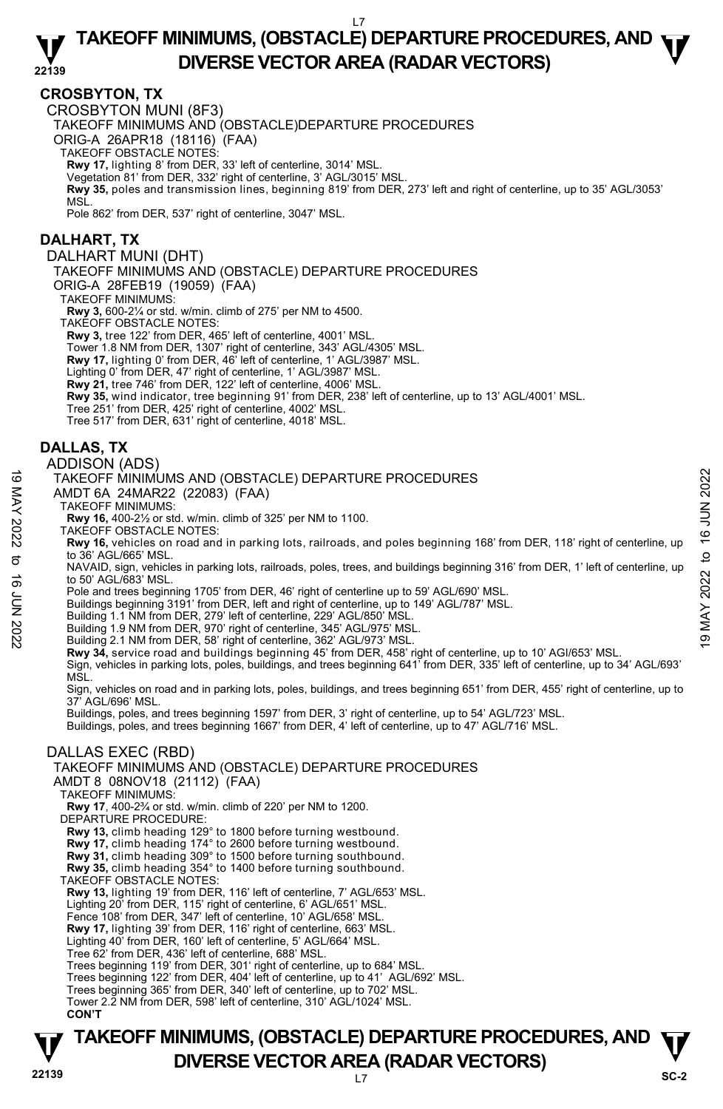#### **22139 TAKEOFF MINIMUMS, (OBSTACLE) DEPARTURE PROCEDURES, AND**  $\Psi$ **DIVERSE VECTOR AREA (RADAR VECTORS)**

#### **CROSBYTON, TX**

CROSBYTON MUNI (8F3)

TAKEOFF MINIMUMS AND (OBSTACLE)DEPARTURE PROCEDURES

ORIG-A 26APR18 (18116) (FAA)

TAKEOFF OBSTACLE NOTES:

**Rwy 17,** lighting 8' from DER, 33' left of centerline, 3014' MSL.

Vegetation 81' from DER, 332' right of centerline, 3' AGL/3015' MSL. **Rwy 35,** poles and transmission lines, beginning 819' from DER, 273' left and right of centerline, up to 35' AGL/3053' MSL.

Pole 862' from DER, 537' right of centerline, 3047' MSL.

#### **DALHART, TX**

DALHART MUNI (DHT)

TAKEOFF MINIMUMS AND (OBSTACLE) DEPARTURE PROCEDURES

ORIG-A 28FEB19 (19059) (FAA)

TAKEOFF MINIMUMS:

**Rwy 3,** 600-2¼ or std. w/min. climb of 275' per NM to 4500.

TAKEOFF OBSTACLE NOTES:

**Rwy 3,** tree 122' from DER, 465' left of centerline, 4001' MSL.

Tower 1.8 NM from DER, 1307' right of centerline, 343' AGL/4305' MSL. **Rwy 17,** lighting 0' from DER, 46' left of centerline, 1' AGL/3987' MSL.

Lighting 0' from DER, 47' right of centerline, 1' AGL/3987' MSL.

**Rwy 21,** tree 746' from DER, 122' left of centerline, 4006' MSL.

**Rwy 35,** wind indicator, tree beginning 91' from DER, 238' left of centerline, up to 13' AGL/4001' MSL.

Tree 251' from DER, 425' right of centerline, 4002' MSL.

Tree 517' from DER, 631' right of centerline, 4018' MSL.

# **DALLAS, TX**

#### ADDISON (ADS)

#### TAKEOFF MINIMUMS AND (OBSTACLE) DEPARTURE PROCEDURES

- AMDT 6A 24MAR22 (22083) (FAA)
- TAKEOFF MINIMUMS:

**Rwy 16,** 400-2½ or std. w/min. climb of 325' per NM to 1100.

TAKEOFF OBSTACLE NOTES:

**Rwy 16,** vehicles on road and in parking lots, railroads, and poles beginning 168' from DER, 118' right of centerline, up to 36' AGL/665' MSL. TAKEOFF MINIMUMS AND (OBSTACLE) DEPARTURE PROCEDURES<br>
AMDT 6A 24MAR22 (22083) (FAA)<br>
TAKEOFF MINIMUMS:<br>
TAKEOFF OBSTACLE NOTES:<br>
Ray 16, 400-2½ or std. w/min. climb of 325' per NM to 1100.<br>
TAKEOFF OBSTACLE NOTES:<br>
Ray 16

NAVAID, sign, vehicles in parking lots, railroads, poles, trees, and buildings beginning 316' from DER, 1' left of centerline, up to 50' AGL/683' MSL.

Pole and trees beginning 1705' from DER, 46' right of centerline up to 59' AGL/690' MSL.

Buildings beginning 3191' from DER, left and right of centerline, up to 149' AGL/787' MSL.

Building 1.1 NM from DER, 279' left of centerline, 229' AGL/850' MSL.

Building 1.9 NM from DER, 970' right of centerline, 345' AGL/975' MSL. Building 2.1 NM from DER, 58' right of centerline, 362' AGL/973' MSL.

**Rwy 34,** service road and buildings beginning 45' from DER, 458' right of centerline, up to 10' AGI/653' MSL. Sign, vehicles in parking lots, poles, buildings, and trees beginning 641' from DER, 335' left of centerline, up to 34' AGL/693'

MSL.

Sign, vehicles on road and in parking lots, poles, buildings, and trees beginning 651' from DER, 455' right of centerline, up to 37' AGL/696' MSL.

Buildings, poles, and trees beginning 1597' from DER, 3' right of centerline, up to 54' AGL/723' MSL.

Buildings, poles, and trees beginning 1667' from DER, 4' left of centerline, up to 47' AGL/716' MSL.

#### DALLAS EXEC (RBD)

TAKEOFF MINIMUMS AND (OBSTACLE) DEPARTURE PROCEDURES

AMDT 8 08NOV18 (21112) (FAA)

TAKEOFF MINIMUMS:

**Rwy 17**, 400-2¾ or std. w/min. climb of 220' per NM to 1200.

DEPARTURE PROCEDURE:

**Rwy 13,** climb heading 129° to 1800 before turning westbound. **Rwy 17,** climb heading 174° to 2600 before turning westbound.

**Rwy 31,** climb heading 309° to 1500 before turning southbound.

**Rwy 35,** climb heading 354° to 1400 before turning southbound.

TAKEOFF OBSTACLE NOTES:

**Rwy 13,** lighting 19' from DER, 116' left of centerline, 7' AGL/653' MSL.

Lighting 20' from DER, 115' right of centerline, 6' AGL/651' MSL.

Fence 108' from DER, 347' left of centerline, 10' AGL/658' MSL

**Rwy 17,** lighting 39' from DER, 116' right of centerline, 663' MSL. Lighting 40' from DER, 160' left of centerline, 5' AGL/664' MSL.

Tree 62' from DER, 436' left of centerline, 688' MSL.

Trees beginning 119' from DER, 301' right of centerline, up to 684' MSL.

Trees beginning 122' from DER, 404' left of centerline, up to 41' AGL/692' MSL.

Trees beginning 365' from DER, 340' left of centerline, up to 702' MSL.

Tower 2.2 NM from DER, 598' left of centerline, 310' AGL/1024' MSL.

# **TAKEOFF MINIMUMS, (OBSTACLE) DEPARTURE PROCEDURES, AND**  $\Psi$ **DIVERSE VECTOR AREA (RADAR VECTORS)** Sc-2

**CON'T**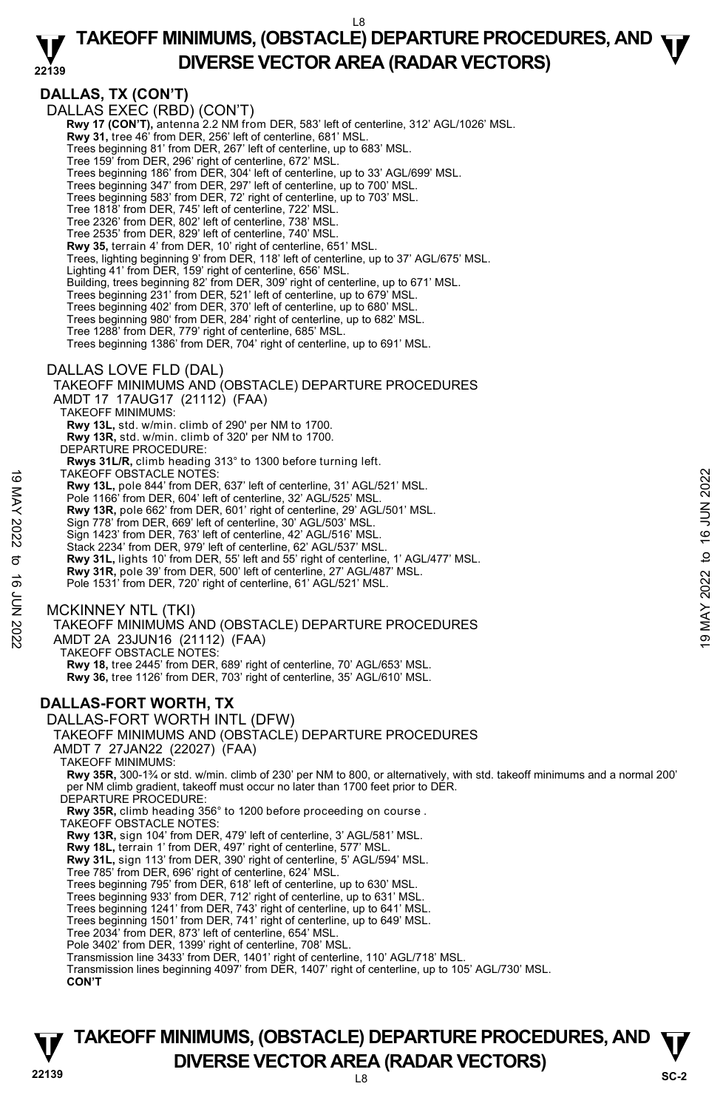#### **22139 TAKEOFF MINIMUMS, (OBSTACLE) DEPARTURE PROCEDURES, AND**  $\Psi$ **DIVERSE VECTOR AREA (RADAR VECTORS)**

**DALLAS, TX (CON'T)**  DALLAS EXEC (RBD) (CON'T)  **Rwy 17 (CON'T),** antenna 2.2 NM from DER, 583' left of centerline, 312' AGL/1026' MSL.  **Rwy 31,** tree 46' from DER, 256' left of centerline, 681' MSL. Trees beginning 81' from DER, 267' left of centerline, up to 683' MSL. Tree 159' from DER, 296' right of centerline, 672' MSL. Trees beginning 186' from DER, 304' left of centerline, up to 33' AGL/699' MSL. Trees beginning 347' from DER, 297' left of centerline, up to 700' MSL. Trees beginning 583' from DER, 72' right of centerline, up to 703' MSL. Tree 1818' from DER, 745' left of centerline, 722' MSL. Tree 2326' from DER, 802' left of centerline, 738' MSL. Tree 2535' from DER, 829' left of centerline, 740' MSL. **Rwy 35,** terrain 4' from DER, 10' right of centerline, 651' MSL. Trees, lighting beginning 9' from DER, 118' left of centerline, up to 37' AGL/675' MSL. Lighting 41' from DER, 159' right of centerline, 656' MSL. Building, trees beginning 82' from DER, 309' right of centerline, up to 671' MSL. Trees beginning 231' from DER, 521' left of centerline, up to 679' MSL. Trees beginning 402' from DER, 370' left of centerline, up to 680' MSL. Trees beginning 980' from DER, 284' right of centerline, up to 682' MSL. Tree 1288' from DER, 779' right of centerline, 685' MSL. Trees beginning 1386' from DER, 704' right of centerline, up to 691' MSL. DALLAS LOVE FLD (DAL) TAKEOFF MINIMUMS AND (OBSTACLE) DEPARTURE PROCEDURES AMDT 17 17AUG17 (21112) (FAA) TAKEOFF MINIMUMS: **Rwy 13L,** std. w/min. climb of 290' per NM to 1700. **Rwy 13R,** std. w/min. climb of 320' per NM to 1700. DEPARTURE PROCEDURE: **Rwys 31L/R,** climb heading 313° to 1300 before turning left. TAKEOFF OBSTACLE NOTES: **Rwy 13L,** pole 844' from DER, 637' left of centerline, 31' AGL/521' MSL. Pole 1166' from DER, 604' left of centerline, 32' AGL/525' MSI **Rwy 13R,** pole 662' from DER, 601' right of centerline, 29' AGL/501' MSL. Sign 778' from DER, 669' left of centerline, 30' AGL/503' MSL. Sign 1423' from DER, 763' left of centerline, 42' AGL/516' MSL. Stack 2234' from DER, 979' left of centerline, 62' AGL/537' MSL. **Rwy 31L,** lights 10' from DER, 55' left and 55' right of centerline, 1' AGL/477' MSL. **Rwy 31R,** pole 39' from DER, 500' left of centerline, 27' AGL/487' MSL. Pole 1531' from DER, 720' right of centerline, 61' AGL/521' MSL. MCKINNEY NTL (TKI) TAKEOFF MINIMUMS AND (OBSTACLE) DEPARTURE PROCEDURES AMDT 2A 23JUN16 (21112) (FAA) TAKEOFF OBSTACLE NOTES: **Rwy 18,** tree 2445' from DER, 689' right of centerline, 70' AGL/653' MSL. **Rwy 36,** tree 1126' from DER, 703' right of centerline, 35' AGL/610' MSL. **DALLAS-FORT WORTH, TX**  DALLAS-FORT WORTH INTL (DFW) TAKEOFF MINIMUMS AND (OBSTACLE) DEPARTURE PROCEDURES AMDT 7 27JAN22 (22027) (FAA) TAKEOFF MINIMUMS: **Rwy 35R,** 300-1¾ or std. w/min. climb of 230' per NM to 800, or alternatively, with std. takeoff minimums and a normal 200' per NM climb gradient, takeoff must occur no later than 1700 feet prior to DER. DEPARTURE PROCEDURE: **Rwy 35R,** climb heading 356° to 1200 before proceeding on course . TAKEOFF OBSTACLE NOTES: **Rwy 13R,** sign 104' from DER, 479' left of centerline, 3' AGL/581' MSL. **Rwy 18L,** terrain 1' from DER, 497' right of centerline, 577' MSL. **Rwy 31L,** sign 113' from DER, 390' right of centerline, 5' AGL/594' MSL. Tree 785' from DER, 696' right of centerline, 624' MSL. Trees beginning 795' from DER, 618' left of centerline, up to 630' MSL. Trees beginning 933' from DER, 712' right of centerline, up to 631' MSL. Trees beginning 1241' from DER, 743' right of centerline, up to 641' MSL. Trees beginning 1501' from DER, 741' right of centerline, up to 649' MSL. Tree 2034' from DER, 873' left of centerline, 654' MSL. Pole 3402' from DER, 1399' right of centerline, 708' MSL. Transmission line 3433' from DER, 1401' right of centerline, 110' AGL/718' MSL. Transmission lines beginning 4097' from DER, 1407' right of centerline, up to 105' AGL/730' MSL. **CON'T** TAKEOFF OBSTACLE NOTES:<br>
Rwy 13R, pole 844' from DER, 637' left of centerline, 31' AGL/521' MSL.<br>
Pole 1166' from DER, 604' left of centerline, 32' AGL/5025' MSL.<br>
Note 1166' from DER, 609' left of centerline, 42' AGL/503

# **22139** L8 **TAKEOFF MINIMUMS, (OBSTACLE) DEPARTURE PROCEDURES, AND**  $\Psi$ **DIVERSE VECTOR AREA (RADAR VECTORS)** SC-2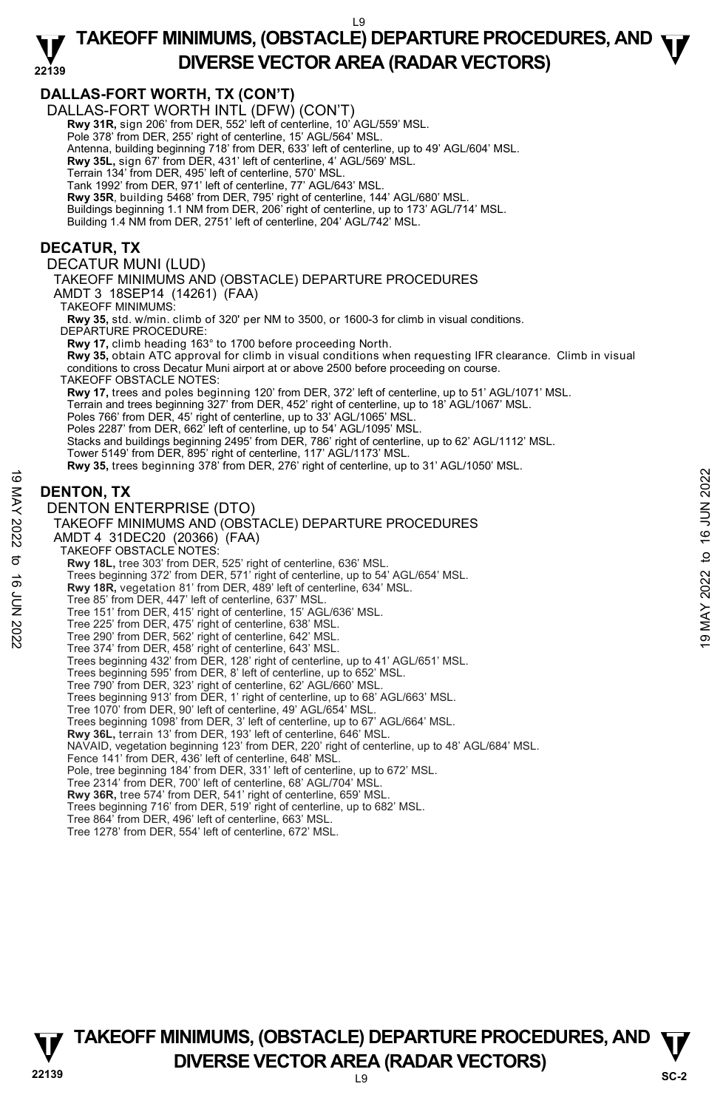# **TAKEOFF MINIMUMS, (OBSTACLE) DEPARTURE PROCEDURES, AND**  $\Psi$ **DIVERSE VECTOR AREA (RADAR VECTORS)**



# **22139** L9 **TAKEOFF MINIMUMS, (OBSTACLE) DEPARTURE PROCEDURES, AND**  $\Psi$ **DIVERSE VECTOR AREA (RADAR VECTORS)** SC-2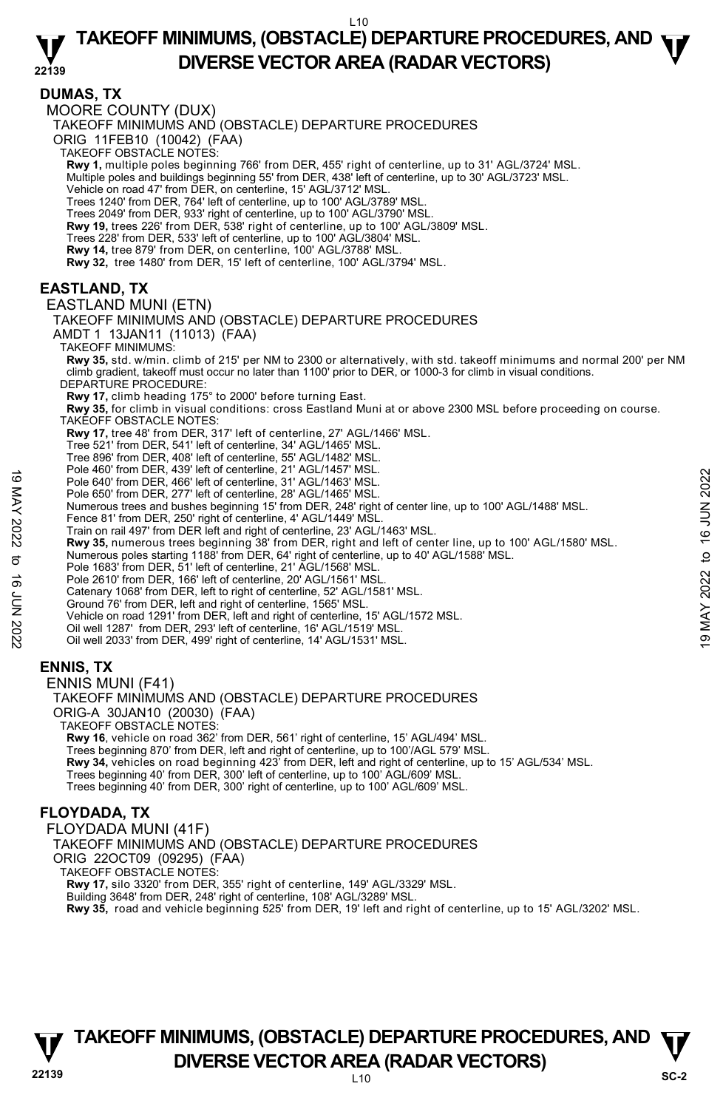#### **22139 TAKEOFF MINIMUMS, (OBSTACLE) DEPARTURE PROCEDURES, AND**  $\Psi$ **DIVERSE VECTOR AREA (RADAR VECTORS)**

#### **DUMAS, TX**

MOORE COUNTY (DUX)

TAKEOFF MINIMUMS AND (OBSTACLE) DEPARTURE PROCEDURES

ORIG 11FEB10 (10042) (FAA)

TAKEOFF OBSTACLE NOTES:

**Rwy 1,** multiple poles beginning 766' from DER, 455' right of centerline, up to 31' AGL/3724' MSL.<br>Multiple poles and buildings beginning 55' from DER, 438' left of centerline, up to 30' AGL/3723' MSL.

Vehicle on road 47' from DER, on centerline, 15' AGL/3712' MSL.

Trees 1240' from DER, 764' left of centerline, up to 100' AGL/3789' MSL.

Trees 2049' from DER, 933' right of centerline, up to 100' AGL/3790' MSL. **Rwy 19,** trees 226' from DER, 538' right of centerline, up to 100' AGL/3809' MSL.

Trees 228' from DER, 533' left of centerline, up to 100' AGL/3804' MSL.

**Rwy 14,** tree 879' from DER, on centerline, 100' AGL/3788' MSL.

**Rwy 32,** tree 1480' from DER, 15' left of centerline, 100' AGL/3794' MSL.

# **EASTLAND, TX**

#### EASTLAND MUNI (ETN)

TAKEOFF MINIMUMS AND (OBSTACLE) DEPARTURE PROCEDURES

AMDT 1 13JAN11 (11013) (FAA)

TAKEOFF MINIMUMS:

**Rwy 35,** std. w/min. climb of 215' per NM to 2300 or alternatively, with std. takeoff minimums and normal 200' per NM climb gradient, takeoff must occur no later than 1100' prior to DER, or 1000-3 for climb in visual conditions. DEPARTURE PROCEDURE:

**Rwy 17,** climb heading 175° to 2000' before turning East.

**Rwy 35,** for climb in visual conditions: cross Eastland Muni at or above 2300 MSL before proceeding on course. TAKEOFF OBSTACLE NOTES:

**Rwy 17,** tree 48' from DER, 317' left of centerline, 27' AGL/1466' MSL.

Tree 521' from DER, 541' left of centerline, 34' AGL/1465' MSL.

Tree 896' from DER, 408' left of centerline, 55' AGL/1482' MSL.

Pole 460' from DER, 439' left of centerline, 21' AGL/1457' MSL.

Pole 640' from DER, 466' left of centerline, 31' AGL/1463' MSL.

Pole 650' from DER, 277' left of centerline, 28' AGL/1465' MSL. Numerous trees and bushes beginning 15' from DER, 248' right of center line, up to 100' AGL/1488' MSL.

- Fence 81' from DER, 250' right of centerline, 4' AGL/1449' MSL.
- Train on rail 497' from DER left and right of centerline, 23' AGL/1463' MSL.

**Rwy 35,** numerous trees beginning 38' from DER, right and left of center line, up to 100' AGL/1580' MSL.<br>Numerous poles starting 1188' from DER, 64' right of centerline, up to 40' AGL/1588' MSL.<br>Pole 1683' from DER, 51' l Pole 640' from DER, 496' lett of centerline, 21 AGL/1463' MSL.<br>
Pole 640' from DER, 466' left of centerline, 28' AGL/1465' MSL.<br>
Numerous trees and bushes beginning 15' from DER, 248' right of center line, up to 100' AGL/

Pole 2610' from DER, 166' left of centerline, 20' AGL/1561' MSI

Catenary 1068' from DER, left to right of centerline, 52' AGL/1581' MSL.

Ground 76' from DER, left and right of centerline, 1565' MSL.

Vehicle on road 1291' from DER, left and right of centerline, 15' AGL/1572 MSL.

Oil well 1287' from DER, 293' left of centerline, 16' AGL/1519' MSL.

Oil well 2033' from DER, 499' right of centerline, 14' AGL/1531' MSL.

### **ENNIS, TX**

ENNIS MUNI (F41)

TAKEOFF MINIMUMS AND (OBSTACLE) DEPARTURE PROCEDURES ORIG-A 30JAN10 (20030) (FAA) TAKEOFF OBSTACLE NOTES: **Rwy 16**, vehicle on road 362' from DER, 561' right of centerline, 15' AGL/494' MSL.

Trees beginning 870' from DER, left and right of centerline, up to 100'/AGL 579' MSL.<br>**Rwy 34,** vehicles on road beginning 423' from DER, left and right of centerline, up to 15' AGL/534' MSL. Trees beginning 40' from DER, 300' left of centerline, up to 100' AGL/609' MSL. Trees beginning 40' from DER, 300' right of centerline, up to 100' AGL/609' MSL.

### **FLOYDADA, TX**

FLOYDADA MUNI (41F) TAKEOFF MINIMUMS AND (OBSTACLE) DEPARTURE PROCEDURES ORIG 22OCT09 (09295) (FAA) TAKEOFF OBSTACLE NOTES: **Rwy 17,** silo 3320' from DER, 355' right of centerline, 149' AGL/3329' MSL. Building 3648' from DER, 248' right of centerline, 108' AGL/3289' MSL. **Rwy 35,** road and vehicle beginning 525' from DER, 19' left and right of centerline, up to 15' AGL/3202' MSL.



# **22139** L10 **TAKEOFF MINIMUMS, (OBSTACLE) DEPARTURE PROCEDURES, AND**  $\Psi$ **DIVERSE VECTOR AREA (RADAR VECTORS)** SC-2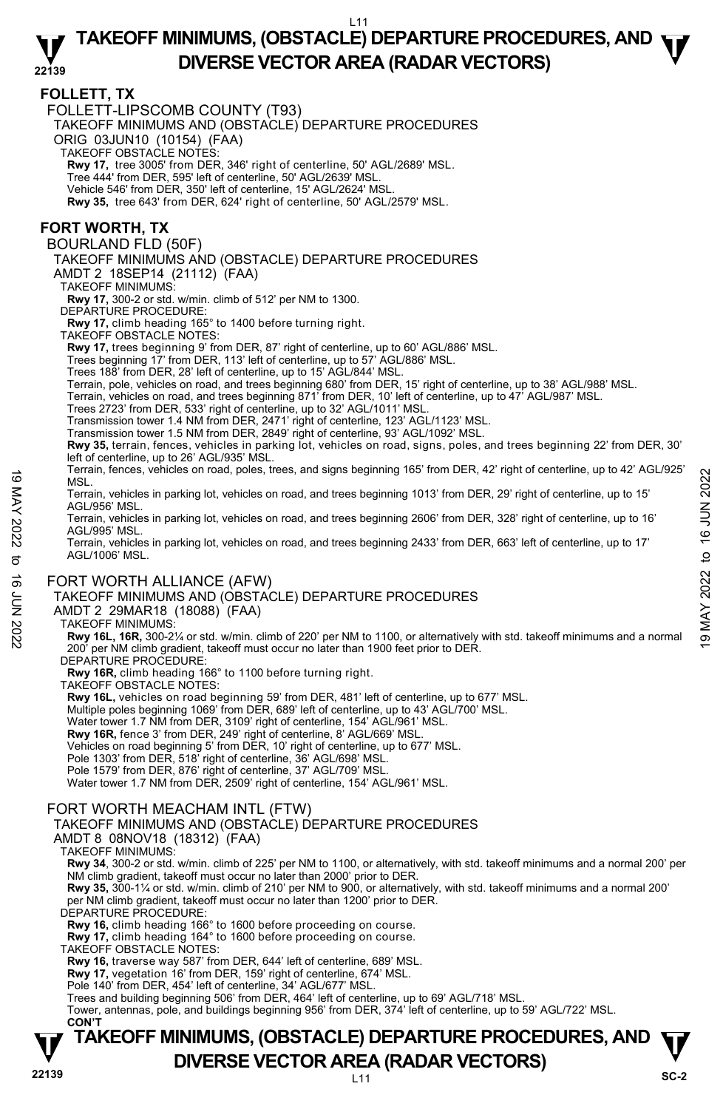#### **22139 TAKEOFF MINIMUMS, (OBSTACLE) DEPARTURE PROCEDURES, AND**  $\Psi$ **DIVERSE VECTOR AREA (RADAR VECTORS)**

### **FOLLETT, TX**

FOLLETT-LIPSCOMB COUNTY (T93)

TAKEOFF MINIMUMS AND (OBSTACLE) DEPARTURE PROCEDURES

ORIG 03JUN10 (10154) (FAA)

TAKEOFF OBSTACLE NOTES:

**Rwy 17,** tree 3005' from DER, 346' right of centerline, 50' AGL/2689' MSL.

Tree 444' from DER, 595' left of centerline, 50' AGL/2639' MSL.

Vehicle 546' from DER, 350' left of centerline, 15' AGL/2624' MSL.

**Rwy 35,** tree 643' from DER, 624' right of centerline, 50' AGL/2579' MSL.

## **FORT WORTH, TX**

BOURLAND FLD (50F)

TAKEOFF MINIMUMS AND (OBSTACLE) DEPARTURE PROCEDURES

AMDT 2 18SEP14 (21112) (FAA)

TAKEOFF MINIMUMS:

**Rwy 17,** 300-2 or std. w/min. climb of 512' per NM to 1300.

DEPARTURE PROCEDURE:

**Rwy 17,** climb heading 165° to 1400 before turning right.

TAKEOFF OBSTACLE NOTES:

**Rwy 17,** trees beginning 9' from DER, 87' right of centerline, up to 60' AGL/886' MSL.

Trees beginning 17' from DER, 113' left of centerline, up to 57' AGL/886' MSL.

Trees 188' from DER, 28' left of centerline, up to 15' AGL/844' MSL.

Terrain, pole, vehicles on road, and trees beginning 680' from DER, 15' right of centerline, up to 38' AGL/988' MSL.

Terrain, vehicles on road, and trees beginning 871' from DER, 10' left of centerline, up to 47' AGL/987' MSL.

Trees 2723' from DER, 533' right of centerline, up to 32' AGL/1011' MSL.

Transmission tower 1.4 NM from DER, 2471' right of centerline, 123' AGL/1123' MSL. Transmission tower 1.5 NM from DER, 2849' right of centerline, 93' AGL/1092' MSL.

**Rwy 35,** terrain, fences, vehicles in parking lot, vehicles on road, signs, poles, and trees beginning 22' from DER, 30' left of centerline, up to 26' AGL/935' MSL.

Terrain, fences, vehicles on road, poles, trees, and signs beginning 165' from DER, 42' right of centerline, up to 42' AGL/925' MSL.

Terrain, vehicles in parking lot, vehicles on road, and trees beginning 1013' from DER, 29' right of centerline, up to 15' AGL/956' MSL.

Terrain, vehicles in parking lot, vehicles on road, and trees beginning 2606' from DER, 328' right of centerline, up to 16' AGL/995' MSL. 19 MSL.<br>
MSL.<br>
MSL.<br>
MSL.<br>
MSL.<br>
Terrain, vehicles in parking lot, vehicles on road, and trees beginning 1013' from DER, 29' right of centerline, up to 15'<br>
AGL/995' MSL.<br>
Terrain, vehicles in parking lot, vehicles on ro

Terrain, vehicles in parking lot, vehicles on road, and trees beginning 2433' from DER, 663' left of centerline, up to 17' AGL/1006' MSL.

### FORT WORTH ALLIANCE (AFW)

TAKEOFF MINIMUMS AND (OBSTACLE) DEPARTURE PROCEDURES

#### AMDT 2 29MAR18 (18088) (FAA)

#### TAKEOFF MINIMUMS:

**Rwy 16L, 16R,** 300-2¼ or std. w/min. climb of 220' per NM to 1100, or alternatively with std. takeoff minimums and a normal 200' per NM climb gradient, takeoff must occur no later than 1900 feet prior to DER.

DEPARTURE PROCEDURE

**Rwy 16R,** climb heading 166° to 1100 before turning right.

TAKEOFF OBSTACLE NOTES:

**Rwy 16L,** vehicles on road beginning 59' from DER, 481' left of centerline, up to 677' MSL.

Multiple poles beginning 1069' from DER, 689' left of centerline, up to 43' AGL/700' MSL.

Water tower 1.7 NM from DER, 3109' right of centerline, 154' AGL/961' MSL.

**Rwy 16R,** fence 3' from DER, 249' right of centerline, 8' AGL/669' MSL.

Vehicles on road beginning 5' from DER, 10' right of centerline, up to 677' MSL. Pole 1303' from DER, 518' right of centerline, 36' AGL/698' MSL.

Pole 1579' from DER, 876' right of centerline, 37' AGL/709' MSL.

Water tower 1.7 NM from DER, 2509' right of centerline, 154' AGL/961' MSL.

#### FORT WORTH MEACHAM INTL (FTW)

TAKEOFF MINIMUMS AND (OBSTACLE) DEPARTURE PROCEDURES

AMDT 8 08NOV18 (18312) (FAA)

TAKEOFF MINIMUMS:

**Rwy 34**, 300-2 or std. w/min. climb of 225' per NM to 1100, or alternatively, with std. takeoff minimums and a normal 200' per NM climb gradient, takeoff must occur no later than 2000' prior to DER.

**Rwy 35,** 300-1¼ or std. w/min. climb of 210' per NM to 900, or alternatively, with std. takeoff minimums and a normal 200' per NM climb gradient, takeoff must occur no later than 1200' prior to DER.

DEPARTURE PROCEDURE

**Rwy 16,** climb heading 166° to 1600 before proceeding on course.

**Rwy 17,** climb heading 164° to 1600 before proceeding on course.

TAKEOFF OBSTACLE NOTES:

**Rwy 16,** traverse way 587' from DER, 644' left of centerline, 689' MSL. **Rwy 17,** vegetation 16' from DER, 159' right of centerline, 674' MSL.

Pole 140' from DER, 454' left of centerline, 34' AGL/677' MSL.

Trees and building beginning 506' from DER, 464' left of centerline, up to 69' AGL/718' MSL. Tower, antennas, pole, and buildings beginning 956' from DER, 374' left of centerline, up to 59' AGL/722' MSL.

#### **22139** L11 **TAKEOFF MINIMUMS, (OBSTACLE) DEPARTURE PROCEDURES, AND**  $\Psi$ **DIVERSE VECTOR AREA (RADAR VECTORS)** SC-2  **CON'T**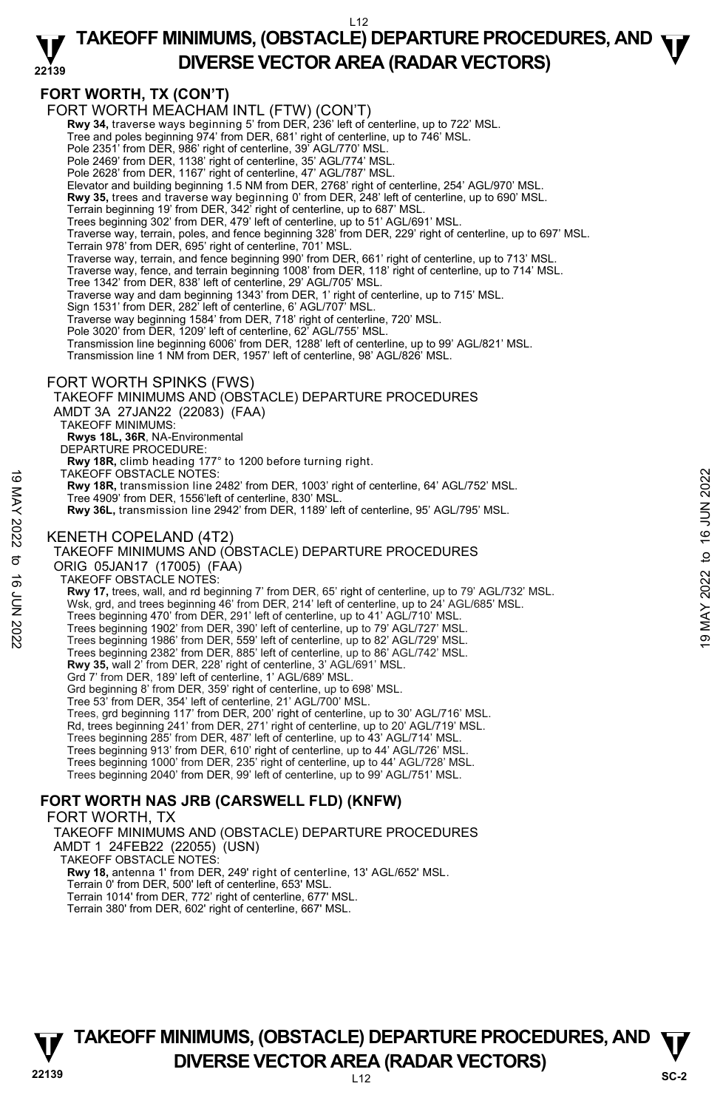#### **22139 TAKEOFF MINIMUMS, (OBSTACLE) DEPARTURE PROCEDURES, AND**  $\Psi$ **DIVERSE VECTOR AREA (RADAR VECTORS)**

### **FORT WORTH, TX (CON'T)**

FORT WORTH MEACHAM INTL (FTW) (CON'T)

**Rwy 34,** traverse ways beginning 5' from DER, 236' left of centerline, up to 722' MSL.<br>Tree and poles beginning 974' from DER, 681' right of centerline, up to 746' MSL.

Pole 2351' from DER, 986' right of centerline, 39' AGL/770' MSL.

Pole 2469' from DER, 1138' right of centerline, 35' AGL/774' MSL. Pole 2628' from DER, 1167' right of centerline, 47' AGL/787' MSL.

Elevator and building beginning 1.5 NM from DER, 2768' right of centerline, 254' AGL/970' MSL.

**Rwy 35,** trees and traverse way beginning 0' from DER, 248' left of centerline, up to 690' MSL.

Terrain beginning 19' from DER, 342' right of centerline, up to 687' MSL. Trees beginning 302' from DER, 479' left of centerline, up to 51' AGL/691' MSL.

Traverse way, terrain, poles, and fence beginning 328' from DER, 229' right of centerline, up to 697' MSL.

Terrain 978' from DER, 695' right of centerline, 701' MSL.

Traverse way, terrain, and fence beginning 990' from DER, 661' right of centerline, up to 713' MSL. Traverse way, fence, and terrain beginning 1008' from DER, 118' right of centerline, up to 714' MSL.

Tree 1342' from DER, 838' left of centerline, 29' AGL/705' MSL.

Traverse way and dam beginning 1343' from DER, 1' right of centerline, up to 715' MSL. Sign 1531' from DER, 282' left of centerline, 6' AGL/707' MSL.

Traverse way beginning 1584' from DER, 718' right of centerline, 720' MSL.

Pole 3020' from DER, 1209' left of centerline, 62' AGL/755' MSL.

Transmission line beginning 6006' from DER, 1288' left of centerline, up to 99' AGL/821' MSL. Transmission line 1 NM from DER, 1957' left of centerline, 98' AGL/826' MSL.

#### FORT WORTH SPINKS (FWS)

TAKEOFF MINIMUMS AND (OBSTACLE) DEPARTURE PROCEDURES AMDT 3A 27JAN22 (22083) (FAA) TAKEOFF MINIMUMS: **Rwys 18L, 36R**, NA-Environmental DEPARTURE PROCEDURE: **Rwy 18R,** climb heading 177° to 1200 before turning right. TAKEOFF OBSTACLE NOTES: **Rwy 18R,** transmission line 2482' from DER, 1003' right of centerline, 64' AGL/752' MSL. Tree 4909' from DER, 1556'left of centerline, 830' MSL. **Rwy 36L,** transmission line 2942' from DER, 1189' left of centerline, 95' AGL/795' MSL. KENETH COPELAND (4T2) TAKEOFF MINIMUMS AND (OBSTACLE) DEPARTURE PROCEDURES ORIG 05JAN17 (17005) (FAA) TAKEOFF OBSTACLE NOTES: **Rwy 17,** trees, wall, and rd beginning 7' from DER, 65' right of centerline, up to 79' AGL/732' MSL. Wsk, grd, and trees beginning 46' from DER, 214' left of centerline, up to 24' AGL/685' MSL. Trees beginning 470' from DER, 291' left of centerline, up to 41' AGL/710' MSL. Trees beginning 1902' from DER, 390' left of centerline, up to 79' AGL/727' MSL. Trees beginning 1986' from DER, 559' left of centerline, up to 82' AGL/729' MSL. Trees beginning 2382' from DER, 885' left of centerline, up to 86' AGL/742' MSL. **Rwy 35,** wall 2' from DER, 228' right of centerline, 3' AGL/691' MSL. Grd 7' from DER, 189' left of centerline, 1' AGL/689' MSL. Grd beginning 8' from DER, 359' right of centerline, up to 698' MSL. Tree 53' from DER, 354' left of centerline, 21' AGL/700' MSL. Trees, grd beginning 117' from DER, 200' right of centerline, up to 30' AGL/716' MSL. Rd, trees beginning 241' from DER, 271' right of centerline, up to 20' AGL/719' MSL. Trees beginning 285' from DER, 487' left of centerline, up to 43' AGL/714' MSL. Trees beginning 913' from DER, 610' right of centerline, up to 44' AGL/726' MSL. Trees beginning 1000' from DER, 235' right of centerline, up to 44' AGL/728' MSL. Trees beginning 2040' from DER, 99' left of centerline, up to 99' AGL/751' MSL. **FORT WORTH NAS JRB (CARSWELL FLD) (KNFW)**  TAKEOFF OBSTACLE NOTES:<br>
Tree 4909 from DER, 1556'left of centerline, 830' MSL.<br>
Tree 4909 from DER, 1556'left of centerline, 830' MSL.<br>
Note 16 4909 from DER, 1569'left of centerline, 830' MSL.<br>
Rwy 36L, transmission lin

#### FORT WORTH, TX

TAKEOFF MINIMUMS AND (OBSTACLE) DEPARTURE PROCEDURES AMDT 1 24FEB22 (22055) (USN)

TAKEOFF OBSTACLE NOTES:

**Rwy 18,** antenna 1' from DER, 249' right of centerline, 13' AGL/652' MSL. Terrain 0' from DER, 500' left of centerline, 653' MSL.

Terrain 1014' from DER, 772' right of centerline, 677' MSL.

Terrain 380' from DER, 602' right of centerline, 667' MSL.

**22139** L12 **TAKEOFF MINIMUMS, (OBSTACLE) DEPARTURE PROCEDURES, AND**  $\Psi$ **DIVERSE VECTOR AREA (RADAR VECTORS)** SC-2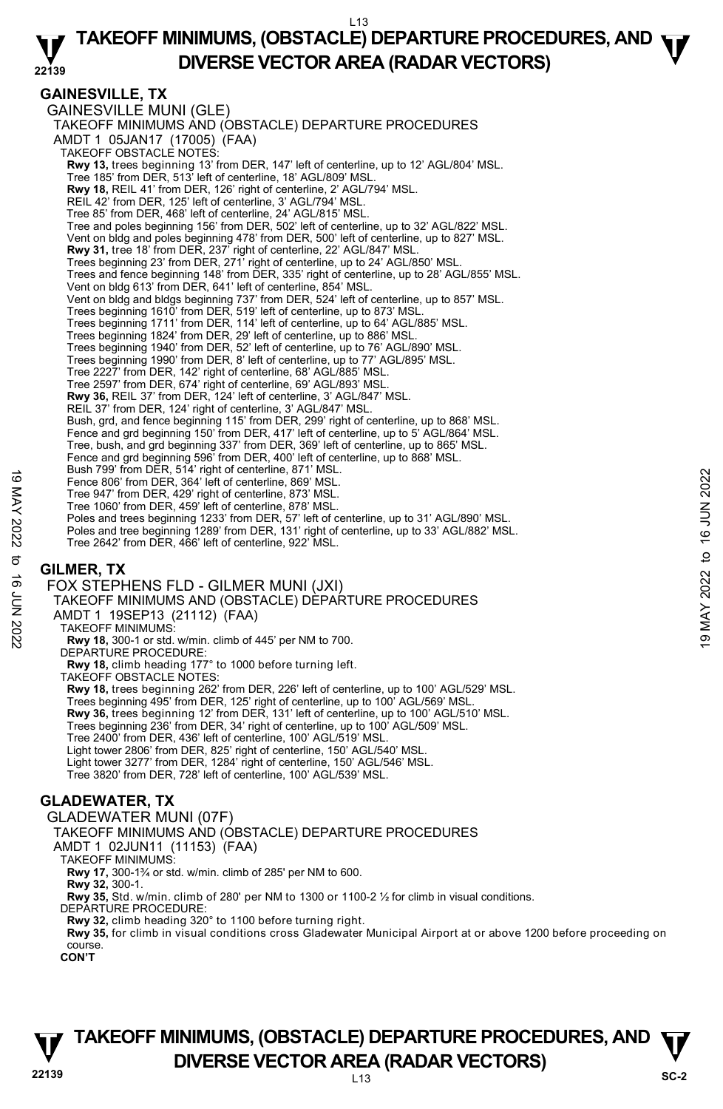#### **22139 TAKEOFF MINIMUMS, (OBSTACLE) DEPARTURE PROCEDURES, AND**  $\Psi$ **DIVERSE VECTOR AREA (RADAR VECTORS)**

### **GAINESVILLE, TX**

GAINESVILLE MUNI (GLE) TAKEOFF MINIMUMS AND (OBSTACLE) DEPARTURE PROCEDURES AMDT 1 05JAN17 (17005) (FAA) TAKEOFF OBSTACLE NOTES: **Rwy 13,** trees beginning 13' from DER, 147' left of centerline, up to 12' AGL/804' MSL.<br>Tree 185' from DER, 513' left of centerline, 18' AGL/809' MSL. **Rwy 18,** REIL 41' from DER, 126' right of centerline, 2' AGL/794' MSL. REIL 42' from DER, 125' left of centerline, 3' AGL/794' MSL. Tree 85' from DER, 468' left of centerline, 24' AGL/815' MSL. Tree and poles beginning 156' from DER, 502' left of centerline, up to 32' AGL/822' MSL. Vent on bldg and poles beginning 478' from DER, 500' left of centerline, up to 827' MSL. **Rwy 31,** tree 18' from DER, 237' right of centerline, 22' AGL/847' MSL.<br>Trees beginning 23' from DER, 271' right of centerline, up to 24' AGL/850' MSL. Trees and fence beginning 148' from DER, 335' right of centerline, up to 28' AGL/855' MSL. Vent on bldg 613' from DER, 641' left of centerline, 854' MSL. Vent on bldg and bldgs beginning 737' from DER, 524' left of centerline, up to 857' MSL. Trees beginning 1610' from DER, 519' left of centerline, up to 873' MSL. Trees beginning 1711' from DER, 114' left of centerline, up to 64' AGL/885' MSL. Trees beginning 1824' from DER, 29' left of centerline, up to 886' MSL. Trees beginning 1940' from DER, 52' left of centerline, up to 76' AGL/890' MSL. Trees beginning 1990' from DER, 8' left of centerline, up to 77' AGL/895' MSL. Tree 2227' from DER, 142' right of centerline, 68' AGL/885' MSL. Tree 2597' from DER, 674' right of centerline, 69' AGL/893' MSL. **Rwy 36,** REIL 37' from DER, 124' left of centerline, 3' AGL/847' MSL. REIL 37' from DER, 124' right of centerline, 3' AGL/847' MSL. Bush, grd, and fence beginning 115' from DER, 299' right of centerline, up to 868' MSL. Fence and grd beginning 150' from DER, 417' left of centerline, up to 5' AGL/864' MSL. Tree, bush, and grd beginning 337' from DER, 369' left of centerline, up to 865' MSL. Fence and grd beginning 596' from DER, 400' left of centerline, up to 868' MSL. Bush 799' from DER, 514' right of centerline, 871' MSL. Fence 806' from DER, 364' left of centerline, 869' MSL. Tree 947' from DER, 429' right of centerline, 873' MSL. Tree 1060' from DER, 459' left of centerline, 878' MSL. Poles and trees beginning 1233' from DER, 57' left of centerline, up to 31' AGL/890' MSL. Poles and tree beginning 1289' from DER, 131' right of centerline, up to 33' AGL/882' MSL. Tree 2642' from DER, 466' left of centerline, 922' MSL. Fence 806' from DER, 364' left of centerline, 869' MSL.<br>
Tree 947' from DER, 364' left of centerline, 869' MSL.<br>
Tree 1060' from DER, 459' light of centerline, 873' MSL.<br>
Poles and tree beginning 1233' from DER, 57' left

### **GILMER, TX**

FOX STEPHENS FLD - GILMER MUNI (JXI) TAKEOFF MINIMUMS AND (OBSTACLE) DÈPARTURE PROCEDURES AMDT 1 19SEP13 (21112) (FAA) TAKEOFF MINIMUMS: **Rwy 18,** 300-1 or std. w/min. climb of 445' per NM to 700. DEPARTURE PROCEDURE: **Rwy 18,** climb heading 177° to 1000 before turning left. TAKEOFF OBSTACLE NOTES: **Rwy 18,** trees beginning 262' from DER, 226' left of centerline, up to 100' AGL/529' MSL. Trees beginning 495' from DER, 125' right of centerline, up to 100' AGL/569' MSL. **Rwy 36,** trees beginning 12' from DER, 131' left of centerline, up to 100' AGL/510' MSL. Trees beginning 236' from DER, 34' right of centerline, up to 100' AGL/509' MSL. Tree 2400' from DER, 436' left of centerline, 100' AGL/519' MSL. Light tower 2806' from DER, 825' right of centerline, 150' AGL/540' MSL. Light tower 3277' from DER, 1284' right of centerline, 150' AGL/546' MSL. Tree 3820' from DER, 728' left of centerline, 100' AGL/539' MSL.

# **GLADEWATER, TX**

GLADEWATER MUNI (07F) TAKEOFF MINIMUMS AND (OBSTACLE) DEPARTURE PROCEDURES

AMDT 1 02JUN11 (11153) (FAA)

TAKEOFF MINIMUMS:

**Rwy 17,** 300-1¾ or std. w/min. climb of 285' per NM to 600. **Rwy 32,** 300-1.

**Rwy 35,** Std. w/min. climb of 280' per NM to 1300 or 1100-2 ½ for climb in visual conditions.

DEPARTURE PROCEDURE

**Rwy 32,** climb heading 320° to 1100 before turning right.

**Rwy 35,** for climb in visual conditions cross Gladewater Municipal Airport at or above 1200 before proceeding on course.

**CON'T** 

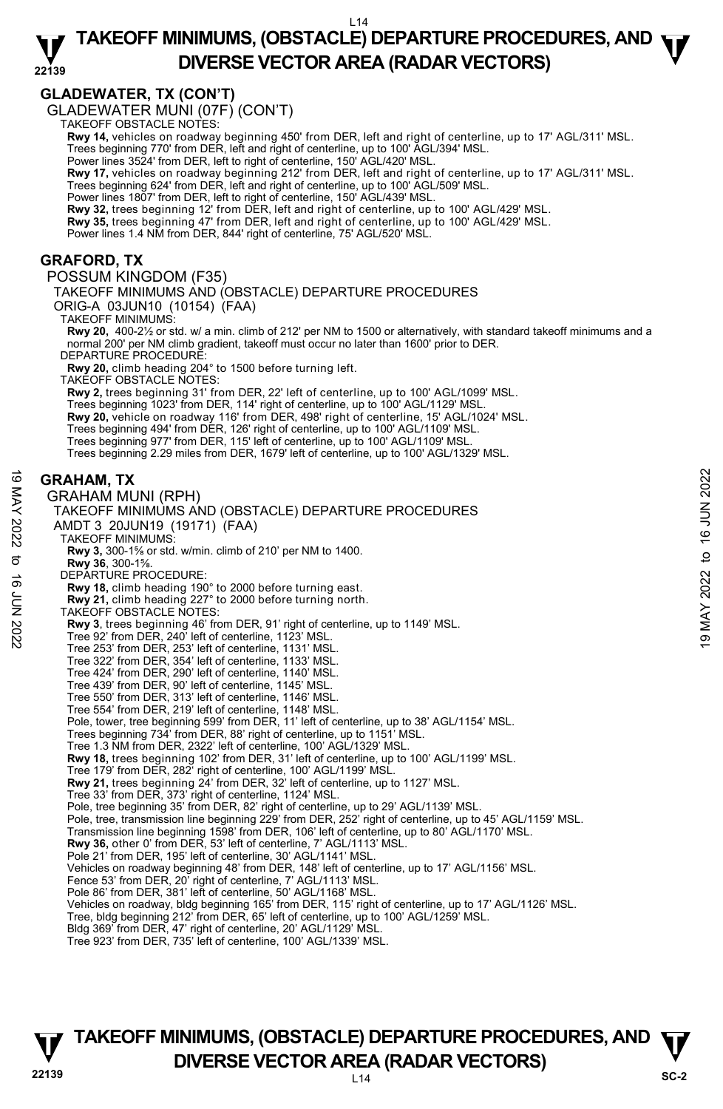#### **22139 TAKEOFF MINIMUMS, (OBSTACLE) DEPARTURE PROCEDURES, AND**  $\Psi$ **DIVERSE VECTOR AREA (RADAR VECTORS)**

# **GLADEWATER, TX (CON'T)**

GLADEWATER MUNI (07F) (CON'T) TAKEOFF OBSTACLE NOTES:

**Rwy 14,** vehicles on roadway beginning 450' from DER, left and right of centerline, up to 17' AGL/311' MSL.

Trees beginning 770' from DER, left and right of centerline, up to 100' AGL/394' MSL. Power lines 3524' from DER, left to right of centerline, 150' AGL/420' MSL.

**Rwy 17,** vehicles on roadway beginning 212' from DER, left and right of centerline, up to 17' AGL/311' MSL.

Trees beginning 624' from DER, left and right of centerline, up to 100' AGL/509' MSL. Power lines 1807' from DER, left to right of centerline, 150' AGL/439' MSL.

**Rwy 32,** trees beginning 12' from DER, left and right of centerline, up to 100' AGL/429' MSL. **Rwy 35,** trees beginning 47' from DER, left and right of centerline, up to 100' AGL/429' MSL.

Power lines 1.4 NM from DER, 844' right of centerline, 75' AGL/520' MSL.

#### **GRAFORD, TX**

POSSUM KINGDOM (F35)

TAKEOFF MINIMUMS AND (OBSTACLE) DEPARTURE PROCEDURES

ORIG-A 03JUN10 (10154) (FAA)

TAKEOFF MINIMUMS:

**Rwy 20,** 400-2½ or std. w/ a min. climb of 212' per NM to 1500 or alternatively, with standard takeoff minimums and a normal 200' per NM climb gradient, takeoff must occur no later than 1600' prior to DER. DEPARTURE PROCEDURE:

**Rwy 20,** climb heading 204° to 1500 before turning left.

TAKEOFF OBSTACLE NOTES:

**Rwy 2,** trees beginning 31' from DER, 22' left of centerline, up to 100' AGL/1099' MSL. Trees beginning 1023' from DER, 114' right of centerline, up to 100' AGL/1129' MSL. **Rwy 20,** vehicle on roadway 116' from DER, 498' right of centerline, 15' AGL/1024' MSL. Trees beginning 494' from DER, 126' right of centerline, up to 100' AGL/1109' MSL. Trees beginning 977' from DER, 115' left of centerline, up to 100' AGL/1109' MSL. Trees beginning 2.29 miles from DER, 1679' left of centerline, up to 100' AGL/1329' MSL.

#### **GRAHAM, TX**

GRAHAM MUNI (RPH) TAKEOFF MINIMUMS AND (OBSTACLE) DEPARTURE PROCEDURES AMDT 3 20JUN19 (19171) (FAA) TAKEOFF MINIMUMS: **Rwy 3,** 300-1⅝ or std. w/min. climb of 210' per NM to 1400. **Rwy 36**, 300-1⅝. DEPARTURE PROCEDURE: **Rwy 18,** climb heading 190° to 2000 before turning east. **Rwy 21,** climb heading 227° to 2000 before turning north. TAKEOFF OBSTACLE NOTES: **Rwy 3**, trees beginning 46' from DER, 91' right of centerline, up to 1149' MSL.<br>Tree 92' from DER, 240' left of centerline, 1123' MSL. Tree 253' from DER, 253' left of centerline, 1131' MSL. Tree 322' from DER, 354' left of centerline, 1133' MSL. Tree 424' from DER, 290' left of centerline, 1140' MSL. Tree 439' from DER, 90' left of centerline, 1145' MSL. Tree 550' from DER, 313' left of centerline, 1146' MSL. Tree 554' from DER, 219' left of centerline, 1148' MSL. Pole, tower, tree beginning 599' from DER, 11' left of centerline, up to 38' AGL/1154' MSL. Trees beginning 734' from DER, 88' right of centerline, up to 1151' MSL. Tree 1.3 NM from DER, 2322' left of centerline, 100' AGL/1329' MSL. **Rwy 18,** trees beginning 102' from DER, 31' left of centerline, up to 100' AGL/1199' MSL. Tree 179' from DER, 282' right of centerline, 100' AGL/1199' MSL. **Rwy 21,** trees beginning 24' from DER, 32' left of centerline, up to 1127' MSL. Tree 33' from DER, 373' right of centerline, 1124' MSL. Pole, tree beginning 35' from DER, 82' right of centerline, up to 29' AGL/1139' MSL. Pole, tree, transmission line beginning 229' from DER, 252' right of centerline, up to 45' AGL/1159' MSL. Transmission line beginning 1598' from DER, 106' left of centerline, up to 80' AGL/1170' MSL. **Rwy 36,** other 0' from DER, 53' left of centerline, 7' AGL/1113' MSL. Pole 21' from DER, 195' left of centerline, 30' AGL/1141' MSL. Vehicles on roadway beginning 48' from DER, 148' left of centerline, up to 17' AGL/1156' MSL. Fence 53' from DER, 20' right of centerline, 7' AGL/1113' MSL. Pole 86' from DER, 381' left of centerline, 50' AGL/1168' MSL. Vehicles on roadway, bldg beginning 165' from DER, 115' right of centerline, up to 17' AGL/1126' MSL. Tree, bldg beginning 212' from DER, 65' left of centerline, up to 100' AGL/1259' MSL. Bldg 369' from DER, 47' right of centerline, 20' AGL/1129' MSL. Tree 923' from DER, 735' left of centerline, 100' AGL/1339' MSL. **GRAHAM, TX**<br>
SGRAHAM MUNI (RPH)<br>  $\leq$  GRAHAM MUNI (RPH)<br>  $\leq$  TAKEOFF MINIMUMS AND (OBSTACLE) DEPARTURE PROCEDURES<br>
AMDT 3 20JUNA 9 (19171) (FAA)<br>
TAKEOFF MINIMUMS:<br>
TAKEOFF MINIMUMS:<br>  $\approx$  TAKEOFF MINIMUMS:<br>  $\approx$  TAKE

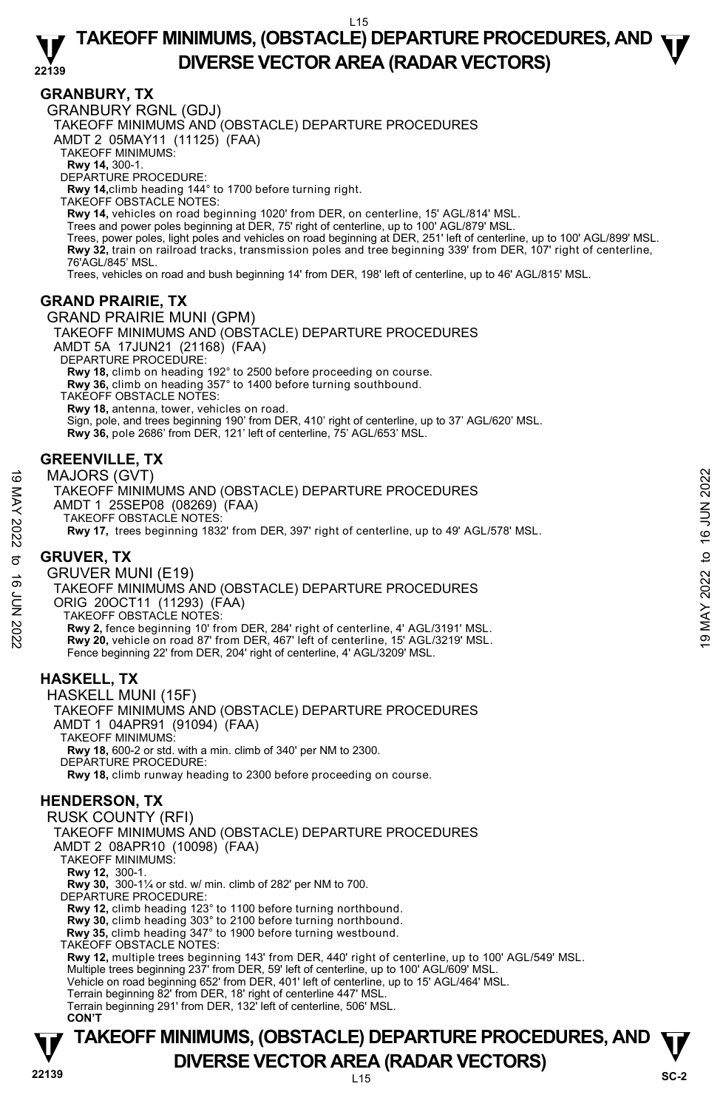### **GRANBURY, TX**

GRANBURY RGNL (GDJ)

TAKEOFF MINIMUMS AND (OBSTACLE) DEPARTURE PROCEDURES

AMDT 2 05MAY11 (11125) (FAA)

- TAKEOFF MINIMUMS:
- 

**Rwy 14,** 300-1. DEPARTURE PROCEDURE:

**Rwy 14,**climb heading 144° to 1700 before turning right.

TAKEOFF OBSTACLE NOTES:

**Rwy 14,** vehicles on road beginning 1020' from DER, on centerline, 15' AGL/814' MSL.<br>Trees and power poles beginning at DER, 75' right of centerline, up to 100' AGL/879' MSL.

Trees, power poles, light poles and vehicles on road beginning at DER, 251' left of centerline, up to 100' AGL/899' MSL. **Rwy 32,** train on railroad tracks, transmission poles and tree beginning 339' from DER, 107' right of centerline,<br>76'AGL/845' MSL.

Trees, vehicles on road and bush beginning 14' from DER, 198' left of centerline, up to 46' AGL/815' MSL.

### **GRAND PRAIRIE, TX**

GRAND PRAIRIE MUNI (GPM) TAKEOFF MINIMUMS AND (OBSTACLE) DEPARTURE PROCEDURES AMDT 5A 17JUN21 (21168) (FAA) DEPARTURE PROCEDURE: **Rwy 18,** climb on heading 192° to 2500 before proceeding on course. **Rwy 36,** climb on heading 357° to 1400 before turning southbound. TAKEOFF OBSTACLE NOTES: **Rwy 18,** antenna, tower, vehicles on road.

Sign, pole, and trees beginning 190' from DER, 410' right of centerline, up to 37' AGL/620' MSL.  **Rwy 36,** pole 2686' from DER, 121' left of centerline, 75' AGL/653' MSL.

# **GREENVILLE, TX**

MAJORS (GVT)

TAKEOFF MINIMUMS AND (OBSTACLE) DEPARTURE PROCEDURES AMDT 1 25SEP08 (08269) (FAA) TAKEOFF OBSTACLE NOTES: **Rwy 17,** trees beginning 1832' from DER, 397' right of centerline, up to 49' AGL/578' MSL.

# **GRUVER, TX**

GRUVER MUNI (E19) TAKEOFF MINIMUMS AND (OBSTACLE) DEPARTURE PROCEDURES ORIG 20OCT11 (11293) (FAA) TAKEOFF OBSTACLE NOTES: **Rwy 2,** fence beginning 10' from DER, 284' right of centerline, 4' AGL/3191' MSL. **Rwy 20,** vehicle on road 87' from DER, 467' left of centerline, 15' AGL/3219' MSL. Fence beginning 22' from DER, 204' right of centerline, 4' AGL/3209' MSL. MAJORS (GVT)<br>
TAKEOFF MINIMUMS AND (OBSTACLE) DEPARTURE PROCEDURES<br>
AMDT 1 25SEP08 (08269) (FAA)<br>
TAKEOFF OBSTACLE NOTES:<br>
RW 17, trees beginning 1832' from DER, 397' right of centerline, up to 49' AGL/578' MSL.<br>
CRUVER,

# **HASKELL, TX**

HASKELL MUNI (15F) TAKEOFF MINIMUMS AND (OBSTACLE) DEPARTURE PROCEDURES AMDT 1 04APR91 (91094) (FAA) TAKEOFF MINIMUMS: **Rwy 18,** 600-2 or std. with a min. climb of 340' per NM to 2300. DEPARTURE PROCEDURE: **Rwy 18,** climb runway heading to 2300 before proceeding on course.

# **HENDERSON, TX**

**TAKEOFF MINIMUMS, (OBSTACLE) DEPARTURE PROCEDURES, AND**  $\Psi$ **DIVERSE VECTOR AREA (RADAR VECTORS)** SC-2 RUSK COUNTY (RFI) TAKEOFF MINIMUMS AND (OBSTACLE) DEPARTURE PROCEDURES AMDT 2 08APR10 (10098) (FAA) TAKEOFF MINIMUMS: **Rwy 12,** 300-1. **Rwy 30,** 300-1¼ or std. w/ min. climb of 282' per NM to 700. DEPARTURE PROCEDURE: **Rwy 12,** climb heading 123° to 1100 before turning northbound. **Rwy 30,** climb heading 303° to 2100 before turning northbound.  **Rwy 35,** climb heading 347° to 1900 before turning westbound. TAKEOFF OBSTACLE NOTES: **Rwy 12,** multiple trees beginning 143' from DER, 440' right of centerline, up to 100' AGL/549' MSL.<br>Multiple trees beginning 237' from DER, 59' left of centerline, up to 100' AGL/609' MSL. Vehicle on road beginning 652' from DER, 401' left of centerline, up to 15' AGL/464' MSL. Terrain beginning 82' from DER, 18' right of centerline 447' MSL. Terrain beginning 291' from DER, 132' left of centerline, 506' MSL. **CON'T**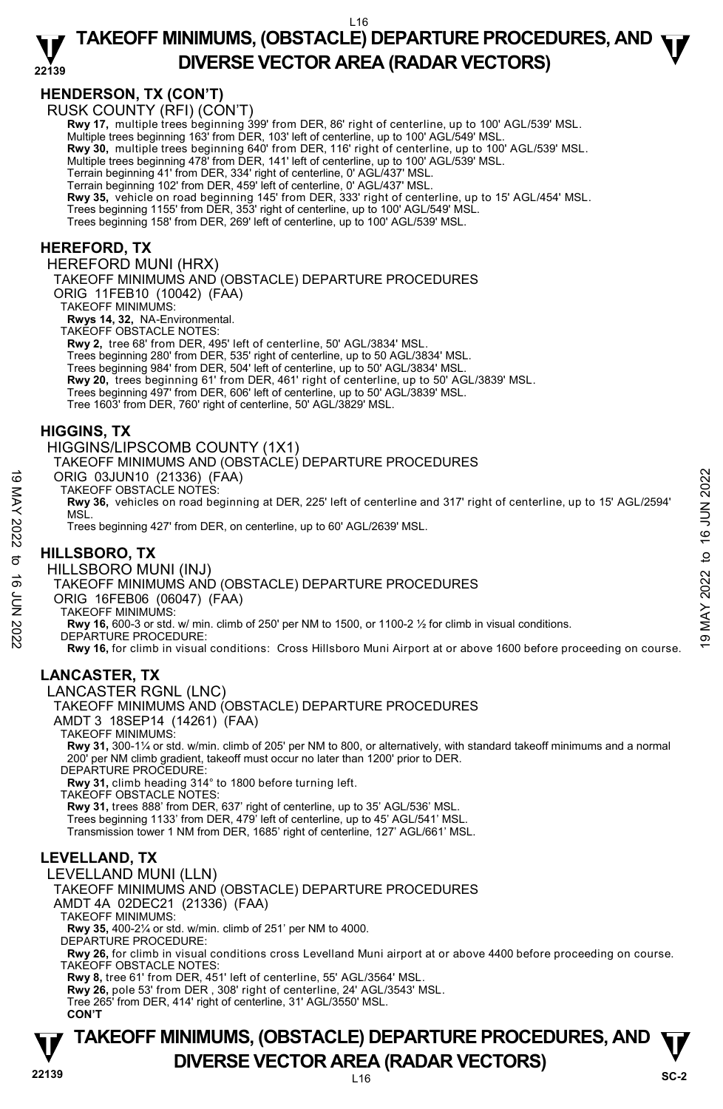# **HENDERSON, TX (CON'T)**

RUSK COUNTY (RFI) (CON'T)

**Rwy 17,** multiple trees beginning 399' from DER, 86' right of centerline, up to 100' AGL/539' MSL. <br>Multiple trees beginning 163' from DER, 103' left of centerline, up to 100' AGL/549' MSL.

**Rwy 30,** multiple trees beginning 640' from DER, 116' right of centerline, up to 100' AGL/539' MSL.

Multiple trees beginning 478' from DER, 141' left of centerline, up to 100' AGL/539' MSL.

Terrain beginning 41' from DER, 334' right of centerline, 0' AGL/437' MSL. Terrain beginning 102' from DER, 459' left of centerline, 0' AGL/437' MSL.

**Rwy 35,** vehicle on road beginning 145' from DER, 333' right of centerline, up to 15' AGL/454' MSL.

Trees beginning 1155' from DER, 353' right of centerline, up to 100' AGL/549' MSL.

Trees beginning 158' from DER, 269' left of centerline, up to 100' AGL/539' MSL.

#### **HEREFORD, TX**

HEREFORD MUNI (HRX)

TAKEOFF MINIMUMS AND (OBSTACLE) DEPARTURE PROCEDURES

ORIG 11FEB10 (10042) (FAA)

TAKEOFF MINIMUMS:

**Rwys 14, 32,** NA-Environmental. TAKEOFF OBSTACLE NOTES:

**Rwy 2,** tree 68' from DER, 495' left of centerline, 50' AGL/3834' MSL.

Trees beginning 280' from DER, 535' right of centerline, up to 50 AGL/3834' MSL.

Trees beginning 984' from DER, 504' left of centerline, up to 50' AGL/3834' MSL.

**Rwy 20,** trees beginning 61' from DER, 461' right of centerline, up to 50' AGL/3839' MSL.

Trees beginning 497' from DER, 606' left of centerline, up to 50' AGL/3839' MSL.

Tree 1603' from DER, 760' right of centerline, 50' AGL/3829' MSL.

#### **HIGGINS, TX**

HIGGINS/LIPSCOMB COUNTY (1X1)

TAKEOFF MINIMUMS AND (OBSTACLE) DEPARTURE PROCEDURES

ORIG 03JUN10 (21336) (FAA)

TAKEOFF OBSTACLE NOTES:

**Rwy 36,** vehicles on road beginning at DER, 225' left of centerline and 317' right of centerline, up to 15' AGL/2594' MSL. ORIG 03JUN10 (21336) (FAA)<br>
TAKEOFF OBSTACLE NOTES:<br>
TAKEOFF OBSTACLE NOTES:<br>
NOW 36, vehicles on road beginning at DER, 225' left of centerline and 317' right of centerline, up to 15' AGL/2594'<br>
NOW THELSBORO, TX<br>
Trees

Trees beginning 427' from DER, on centerline, up to 60' AGL/2639' MSL.

### **HILLSBORO, TX**

HILLSBORO MUNI (INJ)

#### TAKEOFF MINIMUMS AND (OBSTACLE) DEPARTURE PROCEDURES

ORIG 16FEB06 (06047) (FAA)

TAKEOFF MINIMUMS:

**Rwy 16,** 600-3 or std. w/ min. climb of 250' per NM to 1500, or 1100-2 ½ for climb in visual conditions.

DEPARTURE PROCEDURE:

**Rwy 16,** for climb in visual conditions: Cross Hillsboro Muni Airport at or above 1600 before proceeding on course.

# **LANCASTER, TX**

LANCASTER RGNL (LNC)

TAKEOFF MINIMUMS AND (OBSTACLE) DEPARTURE PROCEDURES AMDT 3 18SEP14 (14261) (FAA)

TAKEOFF MINIMUMS:

**Rwy 31,** 300-1¼ or std. w/min. climb of 205' per NM to 800, or alternatively, with standard takeoff minimums and a normal 200' per NM climb gradient, takeoff must occur no later than 1200' prior to DER. DEPARTURE PROCEDURE:

**Rwy 31,** climb heading 314° to 1800 before turning left.

TAKEOFF OBSTACLE NOTES:

**Rwy 31,** trees 888' from DER, 637' right of centerline, up to 35' AGL/536' MSL.

Trees beginning 1133' from DER, 479' left of centerline, up to 45' AGL/541' MSL.

Transmission tower 1 NM from DER, 1685' right of centerline, 127' AGL/661' MSL.

# **LEVELLAND, TX**

LEVELLAND MUNI (LLN) TAKEOFF MINIMUMS AND (OBSTACLE) DEPARTURE PROCEDURES AMDT 4A 02DEC21 (21336) (FAA) TAKEOFF MINIMUMS: **Rwy 35,** 400-2¼ or std. w/min. climb of 251' per NM to 4000. DEPARTURE PROCEDURE:

**Rwy 26,** for climb in visual conditions cross Levelland Muni airport at or above 4400 before proceeding on course. TAKEOFF OBSTACLE NOTES:

**Rwy 8,** tree 61' from DER, 451' left of centerline, 55' AGL/3564' MSL.

**Rwy 26,** pole 53' from DER , 308' right of centerline, 24' AGL/3543' MSL. Tree 265' from DER, 414' right of centerline, 31' AGL/3550' MSL.

**CON'T** 

# **TAKEOFF MINIMUMS, (OBSTACLE) DEPARTURE PROCEDURES, AND**  $\Psi$ **DIVERSE VECTOR AREA (RADAR VECTORS)** SC-2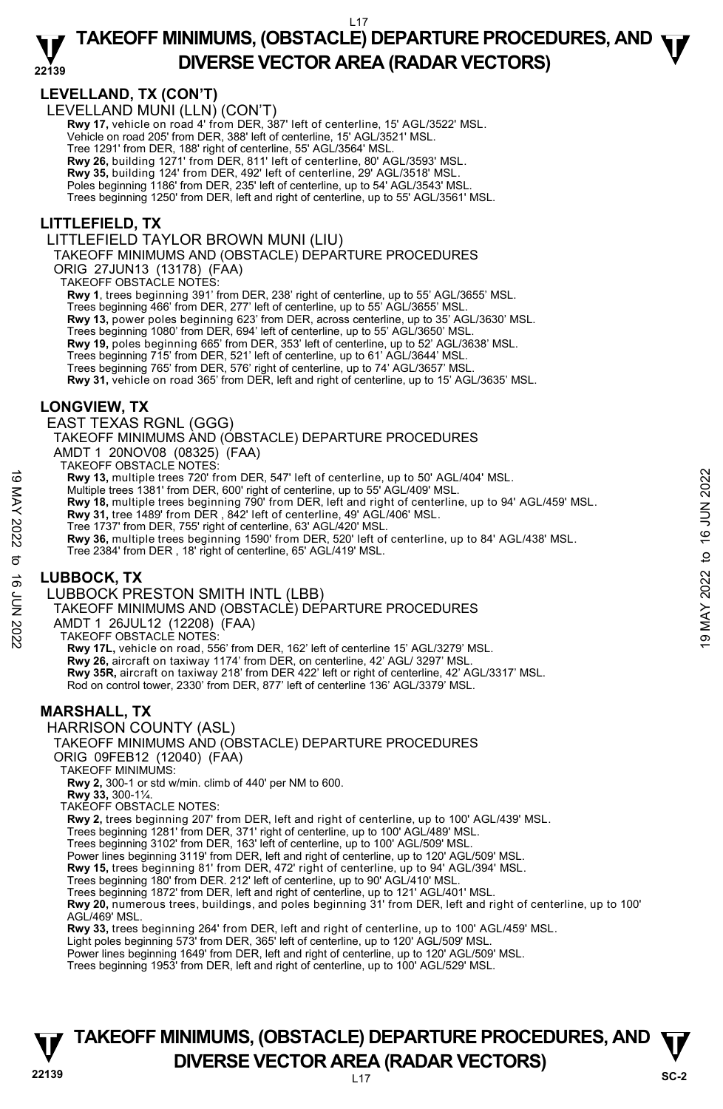## **LEVELLAND, TX (CON'T)**

LEVELLAND MUNI (LLN) (CON'T)

**Rwy 17,** vehicle on road 4' from DER, 387' left of centerline, 15' AGL/3522' MSL. Vehicle on road 205' from DER, 388' left of centerline, 15' AGL/3521' MSL. Tree 1291' from DER, 188' right of centerline, 55' AGL/3564' MSL. **Rwy 26,** building 1271' from DER, 811' left of centerline, 80' AGL/3593' MSL.

**Rwy 35,** building 124' from DER, 492' left of centerline, 29' AGL/3518' MSL.

Poles beginning 1186' from DER, 235' left of centerline, up to 54' AGL/3543' MSL.

Trees beginning 1250' from DER, left and right of centerline, up to 55' AGL/3561' MSL.

# **LITTLEFIELD, TX**

LITTLEFIELD TAYLOR BROWN MUNI (LIU)

TAKEOFF MINIMUMS AND (OBSTACLE) DEPARTURE PROCEDURES

ORIG 27JUN13 (13178) (FAA)

TAKEOFF OBSTACLE NOTES:

**Rwy 1**, trees beginning 391' from DER, 238' right of centerline, up to 55' AGL/3655' MSL.

Trees beginning 466' from DER, 277' left of centerline, up to 55' AGL/3655' MSL. **Rwy 13,** power poles beginning 623' from DER, across centerline, up to 35' AGL/3630' MSL. Trees beginning 1080' from DER, 694' left of centerline, up to 55' AGL/3650' MSL. **Rwy 19,** poles beginning 665' from DER, 353' left of centerline, up to 52' AGL/3638' MSL. Trees beginning 715' from DER, 521' left of centerline, up to 61' AGL/3644' MSL. Trees beginning 765' from DER, 576' right of centerline, up to 74' AGL/3657' MSL. **Rwy 31,** vehicle on road 365' from DER, left and right of centerline, up to 15' AGL/3635' MSL.

# **LONGVIEW, TX**

EAST TEXAS RGNL (GGG)

TAKEOFF MINIMUMS AND (OBSTACLE) DEPARTURE PROCEDURES

AMDT 1 20NOV08 (08325) (FAA)

TAKEOFF OBSTACLE NOTES:

**Rwy 13,** multiple trees 720' from DER, 547' left of centerline, up to 50' AGL/404' MSL.

Multiple trees 1381' from DER, 600' right of centerline, up to 55' AGL/409' MSL.

**Rwy 18,** multiple trees beginning 790' from DER, left and right of centerline, up to 94' AGL/459' MSL.<br>**Rwy 31,** tree 1489' from DER , 842' left of centerline, 49' AGL/406' MSL.

Tree 1737' from DER, 755' right of centerline, 63' AGL/420' MSL.

**Rwy 36,** multiple trees beginning 1590' from DER, 520' left of centerline, up to 84' AGL/438' MSL. Tree 2384' from DER , 18' right of centerline, 65' AGL/419' MSL. Note that the start of the start of the set of the start of the start of the start of the start of the start of the start of the start of the start of the start of the start of the start of the start of the start of the s

# **LUBBOCK, TX**

LUBBOCK PRESTON SMITH INTL (LBB)

TAKEOFF MINIMUMS AND (OBSTACLE) DEPARTURE PROCEDURES

AMDT 1 26JUL12 (12208) (FAA)

TAKEOFF OBSTACLE NOTES:

**Rwy 17L,** vehicle on road, 556' from DER, 162' left of centerline 15' AGL/3279' MSL. **Rwy 26,** aircraft on taxiway 1174' from DER, on centerline, 42' AGL/ 3297' MSL. **Rwy 35R,** aircraft on taxiway 218' from DER 422' left or right of centerline, 42' AGL/3317' MSL. Rod on control tower, 2330' from DER, 877' left of centerline 136' AGL/3379' MSL.

### **MARSHALL, TX**

HARRISON COUNTY (ASL)

### TAKEOFF MINIMUMS AND (OBSTACLE) DEPARTURE PROCEDURES

ORIG 09FEB12 (12040) (FAA)

TAKEOFF MINIMUMS:

**Rwy 2,** 300-1 or std w/min. climb of 440' per NM to 600.

**Rwy 33,** 300-1¼.

TAKEOFF OBSTACLE NOTES:

**Rwy 2,** trees beginning 207' from DER, left and right of centerline, up to 100' AGL/439' MSL.

Trees beginning 1281' from DER, 371' right of centerline, up to 100' AGL/489' MSL. Trees beginning 3102' from DER, 163' left of centerline, up to 100' AGL/509' MSL.

Power lines beginning 3119' from DER, left and right of centerline, up to 120' AGL/509' MSL.

**Rwy 15,** trees beginning 81' from DER, 472' right of centerline, up to 94' AGL/394' MSL.

Trees beginning 180' from DER. 212' left of centerline, up to 90' AGL/410' MSL.

Trees beginning 1872' from DER, left and right of centerline, up to 121' AGL/401' MSL.

**Rwy 20,** numerous trees, buildings, and poles beginning 31' from DER, left and right of centerline, up to 100' AGL/469' MSL.

**Rwy 33,** trees beginning 264' from DER, left and right of centerline, up to 100' AGL/459' MSL.

Light poles beginning 573' from DER, 365' left of centerline, up to 120' AGL/509' MSL.

Power lines beginning 1649' from DER, left and right of centerline, up to 120' AGL/509' MSL. Trees beginning 1953' from DER, left and right of centerline, up to 100' AGL/529' MSL.

# **22139** L17 **TAKEOFF MINIMUMS, (OBSTACLE) DEPARTURE PROCEDURES, AND**  $\Psi$ **DIVERSE VECTOR AREA (RADAR VECTORS)** SC-2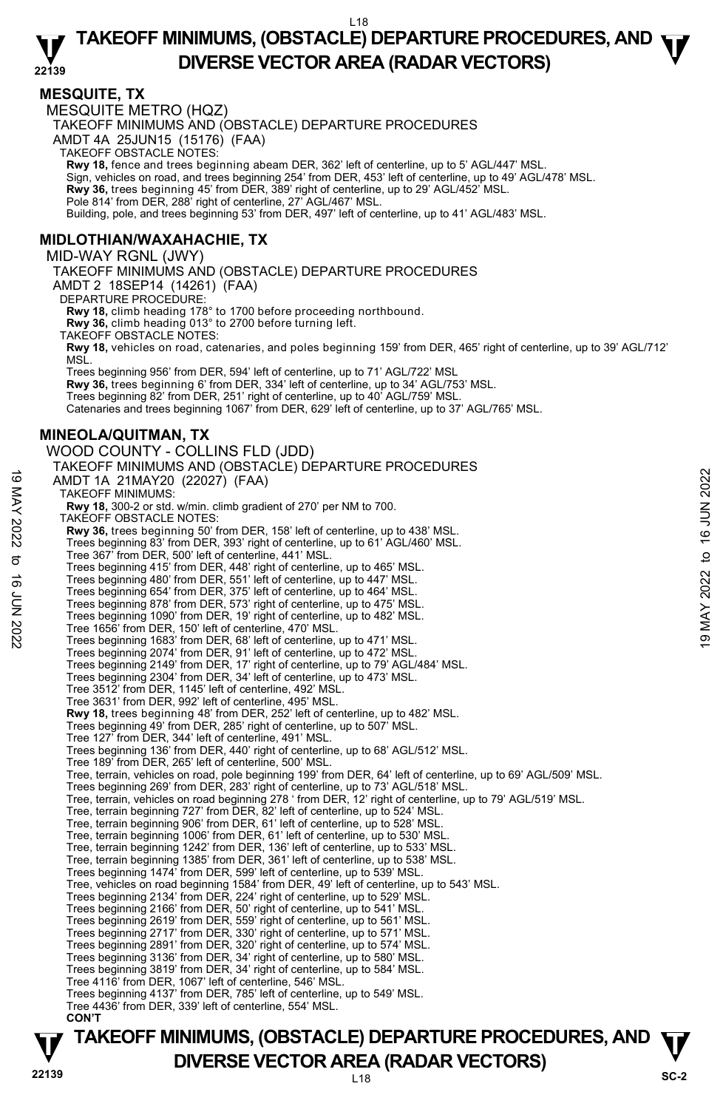#### **MESQUITE, TX**

MESQUITE METRO (HQZ) TAKEOFF MINIMUMS AND (OBSTACLE) DEPARTURE PROCEDURES AMDT 4A 25JUN15 (15176) (FAA) TAKEOFF OBSTACLE NOTES: **Rwy 18,** fence and trees beginning abeam DER, 362' left of centerline, up to 5' AGL/447' MSL. Sign, vehicles on road, and trees beginning 254' from DER, 453' left of centerline, up to 49' AGL/478' MSL. **Rwy 36,** trees beginning 45' from DER, 389' right of centerline, up to 29' AGL/452' MSL. Pole 814' from DER, 288' right of centerline, 27' AGL/467' MSL. Building, pole, and trees beginning 53' from DER, 497' left of centerline, up to 41' AGL/483' MSL. **MIDLOTHIAN/WAXAHACHIE, TX**  MID-WAY RGNL (JWY) TAKEOFF MINIMUMS AND (OBSTACLE) DEPARTURE PROCEDURES AMDT 2 18SEP14 (14261) (FAA) DEPARTURE PROCEDURE: **Rwy 18,** climb heading 178° to 1700 before proceeding northbound. **Rwy 36,** climb heading 013° to 2700 before turning left. TAKEOFF OBSTACLE NOTES: **Rwy 18,** vehicles on road, catenaries, and poles beginning 159' from DER, 465' right of centerline, up to 39' AGL/712' MSL. Trees beginning 956' from DER, 594' left of centerline, up to 71' AGL/722' MSL **Rwy 36,** trees beginning 6' from DER, 334' left of centerline, up to 34' AGL/753' MSL. Trees beginning 82' from DER, 251' right of centerline, up to 40' AGL/759' MSL. Catenaries and trees beginning 1067' from DER, 629' left of centerline, up to 37' AGL/765' MSL. **MINEOLA/QUITMAN, TX**  WOOD COUNTY - COLLINS FLD (JDD) TAKEOFF MINIMUMS AND (OBSTACLE) DEPARTURE PROCEDURES AMDT 1A 21MAY20 (22027) (FAA) TAKEOFF MINIMUMS: **Rwy 18,** 300-2 or std. w/min. climb gradient of 270' per NM to 700. TAKEOFF OBSTACLE NOTES: **Rwy 36,** trees beginning 50' from DER, 158' left of centerline, up to 438' MSL. Trees beginning 83' from DER, 393' right of centerline, up to 61' AGL/460' MSL. Tree 367' from DER, 500' left of centerline, 441' MSL. Trees beginning 415' from DER, 448' right of centerline, up to 465' MSL. Trees beginning 480' from DER, 551' left of centerline, up to 447' MSL. Trees beginning 654' from DER, 375' left of centerline, up to 464' MSL. Trees beginning 878' from DER, 573' right of centerline, up to 475' MSL. Trees beginning 1090' from DER, 19' right of centerline, up to 482' MSL. Tree 1656' from DER, 150' left of centerline, 470' MSL. Trees beginning 1683' from DER, 68' left of centerline, up to 471' MSL. Trees beginning 2074' from DER, 91' left of centerline, up to 472' MSL. Trees beginning 2149' from DER, 17' right of centerline, up to 79' AGL/484' MSL. Trees beginning 2304' from DER, 34' left of centerline, up to 473' MSL. Tree 3512' from DER, 1145' left of centerline, 492' MSL. Tree 3631' from DER, 992' left of centerline, 495' MSL. **Rwy 18,** trees beginning 48' from DER, 252' left of centerline, up to 482' MSL. Trees beginning 49' from DER, 285' right of centerline, up to 507' MSL. Tree 127' from DER, 344' left of centerline, 491' MSL. Trees beginning 136' from DER, 440' right of centerline, up to 68' AGL/512' MSL. Tree 189' from DER, 265' left of centerline, 500' MSL. 19 MADT 1A 21MAY20 (22027) (FAA)<br>
TAKEOFF MINIMUMS:<br>
TAKEOFF MINIMUMS:<br>
TAKEOFF MINIMUMS:<br>
TAKEOFF MINIMUMS:<br>
TAKEOFF MINIMUMS:<br>
TAKEOFF OBSTACLE NOTES:<br> **RW 36**, trees beginning 50' from DER, 158' left of centerline, up

Tree, terrain, vehicles on road, pole beginning 199' from DER, 64' left of centerline, up to 69' AGL/509' MSL.

Trees beginning 269' from DER, 283' right of centerline, up to 73' AGL/518' MSL. Tree, terrain, vehicles on road beginning 278 ' from DER, 12' right of centerline, up to 79' AGL/519' MSL.

- Tree, terrain beginning 727' from DER, 82' left of centerline, up to 524' MSL.
- Tree, terrain beginning 906' from DER, 61' left of centerline, up to 528' MSL.

Tree, terrain beginning 1006' from DER, 61' left of centerline, up to 530' MSL. Tree, terrain beginning 1242' from DER, 136' left of centerline, up to 533' MSL.

Tree, terrain beginning 1385' from DER, 361' left of centerline, up to 538' MSL.

- 
- Trees beginning 1474' from DER, 599' left of centerline, up to 539' MSL. Tree, vehicles on road beginning 1584' from DER, 49' left of centerline, up to 543' MSL.
- Trees beginning 2134' from DER, 224' right of centerline, up to 529' MSL.
- 
- Trees beginning 2166' from DER, 50' right of centerline, up to 541' MSL. Trees beginning 2619' from DER, 559' right of centerline, up to 561' MSL.
- Trees beginning 2717' from DER, 330' right of centerline, up to 571' MSL.
- Trees beginning 2891' from DER, 320' right of centerline, up to 574' MSL.
- Trees beginning 3136' from DER, 34' right of centerline, up to 580' MSL.
- Trees beginning 3819' from DER, 34' right of centerline, up to 584' MSL.
- Tree 4116' from DER, 1067' left of centerline, 546' MSL.
- Trees beginning 4137' from DER, 785' left of centerline, up to 549' MSL. Tree 4436' from DER, 339' left of centerline, 554' MSL.
- **CON'T**

# **TAKEOFF MINIMUMS, (OBSTACLE) DEPARTURE PROCEDURES, AND**  $\Psi$ **DIVERSE VECTOR AREA (RADAR VECTORS)** SC-2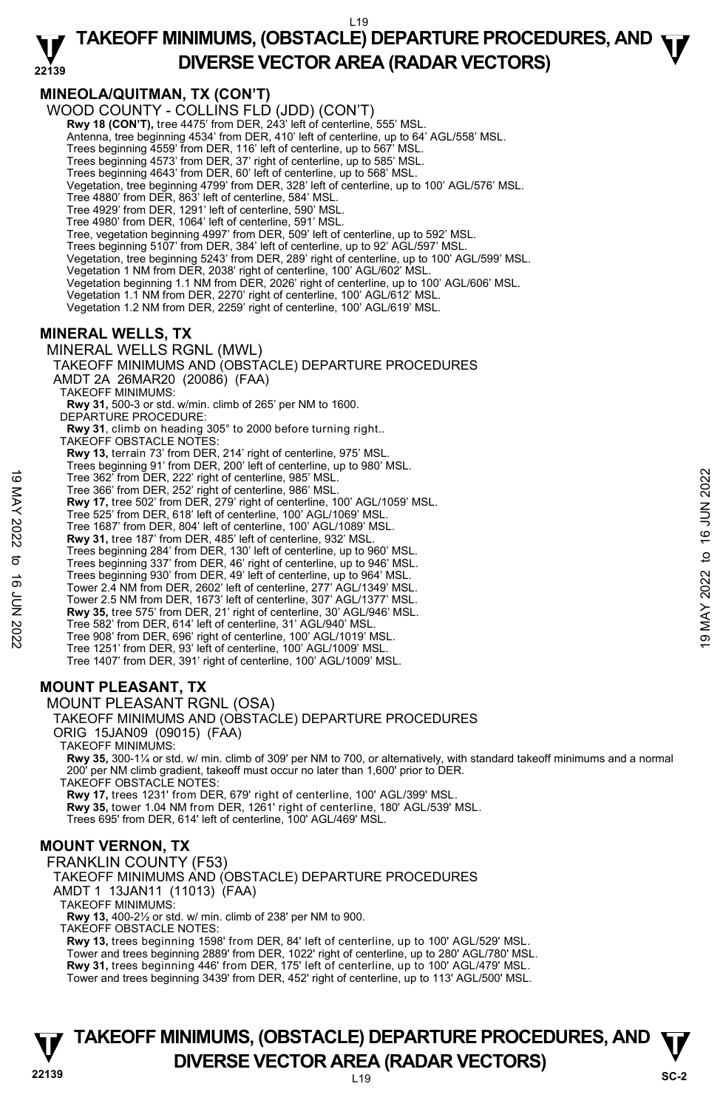#### **22139 TAKEOFF MINIMUMS, (OBSTACLE) DEPARTURE PROCEDURES, AND**  $\Psi$ **DIVERSE VECTOR AREA (RADAR VECTORS)**

# **MINEOLA/QUITMAN, TX (CON'T)**

WOOD COUNTY - COLLINS FLD (JDD) (CON'T) **Rwy 18 (CON'T),** tree 4475' from DER, 243' left of centerline, 555' MSL. Antenna, tree beginning 4534' from DER, 410' left of centerline, up to 64' AGL/558' MSL. Trees beginning 4559' from DER, 116' left of centerline, up to 567' MSL. Trees beginning 4573' from DER, 37' right of centerline, up to 585' MSL. Trees beginning 4643' from DER, 60' left of centerline, up to 568' MSL. Vegetation, tree beginning 4799' from DER, 328' left of centerline, up to 100' AGL/576' MSL. Tree 4880' from DER, 863' left of centerline, 584' MSL. Tree 4929' from DER, 1291' left of centerline, 590' MSL. Tree 4980' from DER, 1064' left of centerline, 591' MSL. Tree, vegetation beginning 4997' from DER, 509' left of centerline, up to 592' MSL. Trees beginning 5107' from DER, 384' left of centerline, up to 92' AGL/597' MSL. Vegetation, tree beginning 5243' from DER, 289' right of centerline, up to 100' AGL/599' MSL. Vegetation 1 NM from DER, 2038' right of centerline, 100' AGL/602' MSL. Vegetation beginning 1.1 NM from DER, 2026' right of centerline, up to 100' AGL/606' MSL. Vegetation 1.1 NM from DER, 2270' right of centerline, 100' AGL/612' MSL. Vegetation 1.2 NM from DER, 2259' right of centerline, 100' AGL/619' MSL.

# **MINERAL WELLS, TX**

#### MINERAL WELLS RGNL (MWL) TAKEOFF MINIMUMS AND (OBSTACLE) DEPARTURE PROCEDURES AMDT 2A 26MAR20 (20086) (FAA)

TAKEOFF MINIMUMS: **Rwy 31,** 500-3 or std. w/min. climb of 265' per NM to 1600. DEPARTURE PROCEDURE: **Rwy 31**, climb on heading 305° to 2000 before turning right.. TAKEOFF OBSTACLE NOTES: **Rwy 13,** terrain 73' from DER, 214' right of centerline, 975' MSL. Trees beginning 91' from DER, 200' left of centerline, up to 980' MSL. Tree 362' from DER, 222' right of centerline, 985' MSL. Tree 366' from DER, 252' right of centerline, 986' MSL. **Rwy 17,** tree 502' from DER, 279' right of centerline, 100' AGL/1059' MSL. Tree 525' from DER, 618' left of centerline, 100' AGL/1069' MSL. Tree 1687' from DER, 804' left of centerline, 100' AGL/1089' MSL. **Rwy 31,** tree 187' from DER, 485' left of centerline, 932' MSL. Trees beginning 284' from DER, 130' left of centerline, up to 960' MSL. Trees beginning 337' from DER, 46' right of centerline, up to 946' MSL. Trees beginning 930' from DER, 49' left of centerline, up to 964' MSL. Tree 362' from DER, 262' right of centerline, 985' MSL.<br>
Tree 362' from DER, 222' right of centerline, 986' MSL.<br>
Rwy 17, tree 502' from DER, 279' right of centerline, 100' AGL/1059' MSL.<br>
Tree 1687' from DER, 804' left o

- 
- Tower 2.4 NM from DER, 2602' left of centerline, 277' AGL/1349' MSL. Tower 2.5 NM from DER, 1673' left of centerline, 307' AGL/1377' MSL.
- **Rwy 35,** tree 575' from DER, 21' right of centerline, 30' AGL/946' MSL.
- Tree 582' from DER, 614' left of centerline, 31' AGL/940' MSL.
- Tree 908' from DER, 696' right of centerline, 100' AGL/1019' MSL.
- Tree 1251' from DER, 93' left of centerline, 100' AGL/1009' MSL.
- Tree 1407' from DER, 391' right of centerline, 100' AGL/1009' MSL.

# **MOUNT PLEASANT, TX**

#### MOUNT PLEASANT RGNL (OSA)

TAKEOFF MINIMUMS:

**Rwy 35,** 300-1¼ or std. w/ min. climb of 309' per NM to 700, or alternatively, with standard takeoff minimums and a normal 200' per NM climb gradient, takeoff must occur no later than 1,600' prior to DER. TAKEOFF OBSTACLE NOTES:

**Rwy 17,** trees 1231' from DER, 679' right of centerline, 100' AGL/399' MSL. **Rwy 35,** tower 1.04 NM from DER, 1261' right of centerline, 180' AGL/539' MSL. Trees 695' from DER, 614' left of centerline, 100' AGL/469' MSL.

# **MOUNT VERNON, TX**

FRANKLIN COUNTY (F53) TAKEOFF MINIMUMS AND (OBSTACLE) DEPARTURE PROCEDURES AMDT 1 13JAN11 (11013) (FAA) TAKEOFF MINIMUMS: **Rwy 13,** 400-2½ or std. w/ min. climb of 238' per NM to 900. TAKEOFF OBSTACLE NOTES: **Rwy 13,** trees beginning 1598' from DER, 84' left of centerline, up to 100' AGL/529' MSL. Tower and trees beginning 2889' from DER, 1022' right of centerline, up to 280' AGL/780' MSL.<br>**Rwy 31,** trees beginning 446' from DER, 175' left of centerline, up to 100' AGL/479' MSL. Tower and trees beginning 3439' from DER, 452' right of centerline, up to 113' AGL/500' MSL.

# **22139** L19 **TAKEOFF MINIMUMS, (OBSTACLE) DEPARTURE PROCEDURES, AND**  $\Psi$ **DIVERSE VECTOR AREA (RADAR VECTORS)** SC-2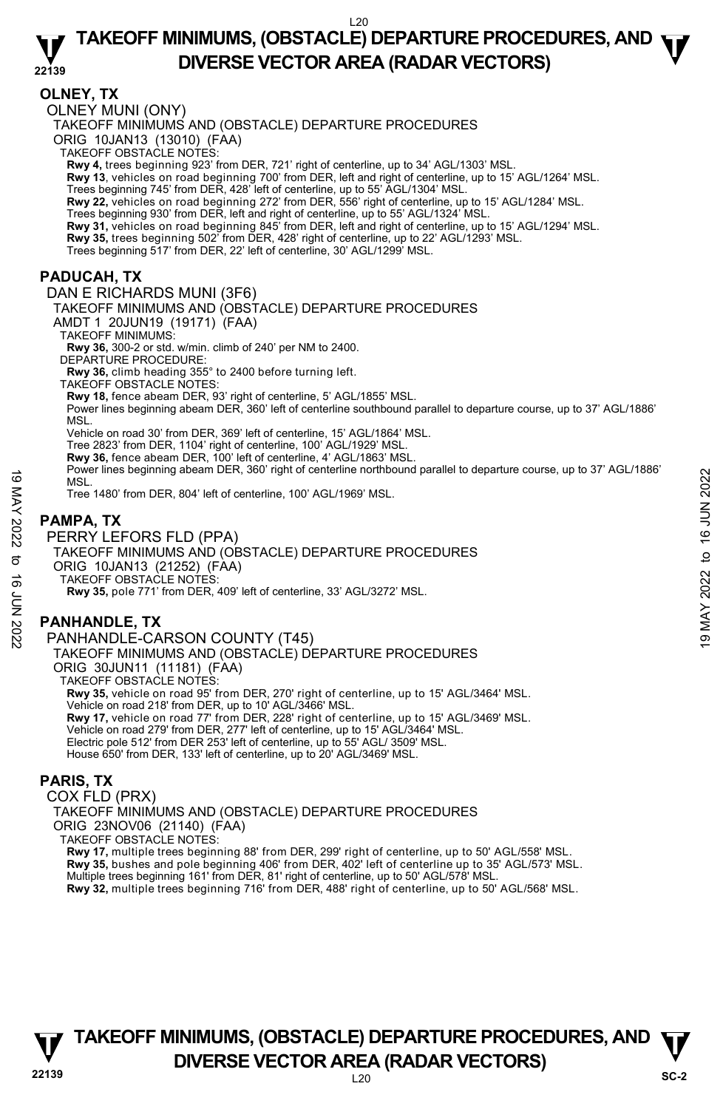#### **22139 TAKEOFF MINIMUMS, (OBSTACLE) DEPARTURE PROCEDURES, AND**  $\Psi$ **DIVERSE VECTOR AREA (RADAR VECTORS)**

#### **OLNEY, TX**

OLNEY MUNI (ONY)

TAKEOFF MINIMUMS AND (OBSTACLE) DEPARTURE PROCEDURES

ORIG 10JAN13 (13010) (FAA) TAKEOFF OBSTACLE NOTES:

**Rwy 4,** trees beginning 923' from DER, 721' right of centerline, up to 34' AGL/1303' MSL.

**Rwy 13**, vehicles on road beginning 700' from DER, left and right of centerline, up to 15' AGL/1264' MSL.

Trees beginning 745' from DER, 428' left of centerline, up to 55' AGL/1304' MSL.

**Rwy 22,** vehicles on road beginning 272' from DER, 556' right of centerline, up to 15' AGL/1284' MSL.

Trees beginning 930' from DER, left and right of centerline, up to 55' AGL/1324' MSL.<br>**Rwy 31,** vehicles on road beginning 845' from DER, left and right of centerline, up to 15' AGL/1294' MSL.

**Rwy 35,** trees beginning 502' from DER, 428' right of centerline, up to 22' AGL/1293' MSL. Trees beginning 517' from DER, 22' left of centerline, 30' AGL/1299' MSL.

**PADUCAH, TX** 

DAN E RICHARDS MUNI (3F6) TAKEOFF MINIMUMS AND (OBSTACLE) DEPARTURE PROCEDURES AMDT 1 20JUN19 (19171) (FAA) TAKEOFF MINIMUMS: **Rwy 36,** 300-2 or std. w/min. climb of 240' per NM to 2400. DEPARTURE PROCEDURE: **Rwy 36,** climb heading 355° to 2400 before turning left. TAKEOFF OBSTACLE NOTES: **Rwy 18,** fence abeam DER, 93' right of centerline, 5' AGL/1855' MSL. Power lines beginning abeam DER, 360' left of centerline southbound parallel to departure course, up to 37' AGL/1886' MSL. Vehicle on road 30' from DER, 369' left of centerline, 15' AGL/1864' MSL. Tree 2823' from DER, 1104' right of centerline, 100' AGL/1929' MSL. **Rwy 36,** fence abeam DER, 100' left of centerline, 4' AGL/1863' MSL. Power lines beginning abeam DER, 360' right of centerline northbound parallel to departure course, up to 37' AGL/1886' **MSL** 

Tree 1480' from DER, 804' left of centerline, 100' AGL/1969' MSL.

#### **PAMPA, TX**

PERRY LEFORS FLD (PPA) TAKEOFF MINIMUMS AND (OBSTACLE) DEPARTURE PROCEDURES ORIG 10JAN13 (21252) (FAA) TAKEOFF OBSTACLE NOTES: **Rwy 35,** pole 771' from DER, 409' left of centerline, 33' AGL/3272' MSL. MSL.<br>
INSL.<br>
MSL.<br>
MSL.<br>
Tree 1480' from DER, 804' left of centerline, 100' AGL/1969' MSL.<br>
Tree 1480' from DER, 804' left of centerline, 100' AGL/1969' MSL.<br> **PAMPA, TX**<br>
PERRY LEFORS FLD (PPA)<br>
TAKEOFF MINIMUMS AND (OBS

# **PANHANDLE, TX**

PANHANDLE-CARSON COUNTY (T45) TAKEOFF MINIMUMS AND (OBSTACLE) DEPARTURE PROCEDURES ORIG 30JUN11 (11181) (FAA) TAKEOFF OBSTACLE NOTES: **Rwy 35,** vehicle on road 95' from DER, 270' right of centerline, up to 15' AGL/3464' MSL. Vehicle on road 218' from DER, up to 10' AGL/3466' MSL. **Rwy 17,** vehicle on road 77' from DER, 228' right of centerline, up to 15' AGL/3469' MSL. Vehicle on road 279' from DER, 277' left of centerline, up to 15' AGL/3464' MSL. Electric pole 512' from DER 253' left of centerline, up to 55' AGL/ 3509' MSL. House 650' from DER, 133' left of centerline, up to 20' AGL/3469' MSL.

### **PARIS, TX**

COX FLD (PRX) TAKEOFF MINIMUMS AND (OBSTACLE) DEPARTURE PROCEDURES ORIG 23NOV06 (21140) (FAA) TAKEOFF OBSTACLE NOTES: **Rwy 17,** multiple trees beginning 88' from DER, 299' right of centerline, up to 50' AGL/558' MSL. **Rwy 35,** bushes and pole beginning 406' from DER, 402' left of centerline up to 35' AGL/573' MSL. Multiple trees beginning 161' from DER, 81' right of centerline, up to 50' AGL/578' MSL. **Rwy 32,** multiple trees beginning 716' from DER, 488' right of centerline, up to 50' AGL/568' MSL.



# **22139** L20 **TAKEOFF MINIMUMS, (OBSTACLE) DEPARTURE PROCEDURES, AND**  $\Psi$ **DIVERSE VECTOR AREA (RADAR VECTORS)** SC-2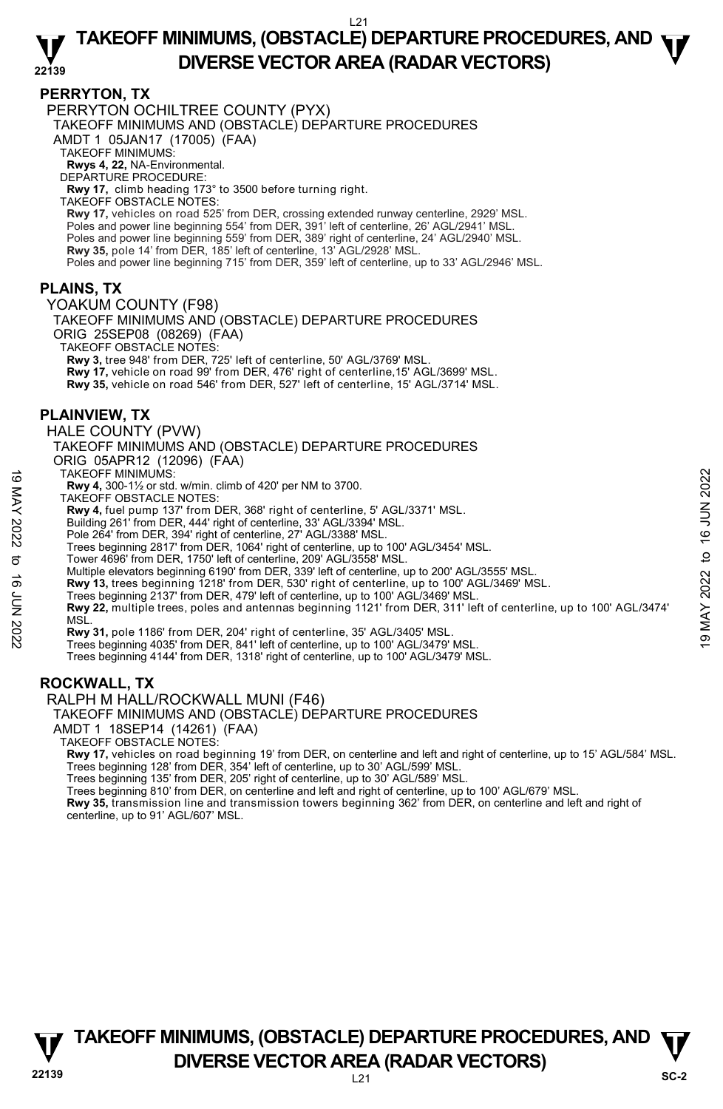#### **PERRYTON, TX**

PERRYTON OCHILTREE COUNTY (PYX)

TAKEOFF MINIMUMS AND (OBSTACLE) DEPARTURE PROCEDURES

AMDT 1 05JAN17 (17005) (FAA)

TAKEOFF MINIMUMS:

**Rwys 4, 22,** NA-Environmental. DEPARTURE PROCEDURE:

**Rwy 17,** climb heading 173° to 3500 before turning right.

TAKEOFF OBSTACLE NOTES:

**Rwy 17,** vehicles on road 525' from DER, crossing extended runway centerline, 2929' MSL.<br>Poles and power line beginning 554' from DER, 391' left of centerline, 26' AGL/2941' MSL. Poles and power line beginning 559' from DER, 389' right of centerline, 24' AGL/2940' MSL. **Rwy 35,** pole 14' from DER, 185' left of centerline, 13' AGL/2928' MSL. Poles and power line beginning 715' from DER, 359' left of centerline, up to 33' AGL/2946' MSL.

#### **PLAINS, TX**

YOAKUM COUNTY (F98)

TAKEOFF MINIMUMS AND (OBSTACLE) DEPARTURE PROCEDURES ORIG 25SEP08 (08269) (FAA)

TAKEOFF OBSTACLE NOTES:

**Rwy 3,** tree 948' from DER, 725' left of centerline, 50' AGL/3769' MSL.

**Rwy 17,** vehicle on road 99' from DER, 476' right of centerline,15' AGL/3699' MSL.

**Rwy 35,** vehicle on road 546' from DER, 527' left of centerline, 15' AGL/3714' MSL.

#### **PLAINVIEW, TX**

HALE COUNTY (PVW)

TAKEOFF MINIMUMS AND (OBSTACLE) DEPARTURE PROCEDURES ORIG 05APR12 (12096) (FAA)

TAKEOFF MINIMUMS:

**Rwy 4,** 300-1½ or std. w/min. climb of 420' per NM to 3700.

TAKEOFF OBSTACLE NOTES:

**Rwy 4,** fuel pump 137' from DER, 368' right of centerline, 5' AGL/3371' MSL.

Building 261' from DER, 444' right of centerline, 33' AGL/3394' MSL.

Pole 264' from DER, 394' right of centerline, 27' AGL/3388' MSL.

Trees beginning 2817' from DER, 1064' right of centerline, up to 100' AGL/3454' MSL. Tower 4696' from DER, 1750' left of centerline, 209' AGL/3558' MSL.

Multiple elevators beginning 6190' from DER, 339' left of centerline, up to 200' AGL/3555' MSL.

**Rwy 13,** trees beginning 1218' from DER, 530' right of centerline, up to 100' AGL/3469' MSL.<br>Trees beginning 2137' from DER, 479' left of centerline, up to 100' AGL/3469' MSL.

**Rwy 22,** multiple trees, poles and antennas beginning 1121' from DER, 311' left of centerline, up to 100' AGL/3474' **MSL** TAKEOFF MINIMUMS:<br> **EWY 4,** 500-1½ or std. w/min. climb of 420' per NM to 3700.<br> **EWY 4,** fuel pump 137' from DER, 368' right of centerline, 5' AGL/3371' MSL.<br> **EWY 4,** fuel pump 137' from DER, 368' right of centerline, 3

**Rwy 31,** pole 1186' from DER, 204' right of centerline, 35' AGL/3405' MSL.

Trees beginning 4035' from DER, 841' left of centerline, up to 100' AGL/3479' MSL.

Trees beginning 4144' from DER, 1318' right of centerline, up to 100' AGL/3479' MSL.

# **ROCKWALL, TX**

RALPH M HALL/ROCKWALL MUNI (F46)

TAKEOFF MINIMUMS AND (OBSTACLE) DEPARTURE PROCEDURES

AMDT 1 18SEP14 (14261) (FAA)

TAKEOFF OBSTACLE NOTES:

**Rwy 17,** vehicles on road beginning 19' from DER, on centerline and left and right of centerline, up to 15' AGL/584' MSL.<br>Trees beginning 128' from DER, 354' left of centerline, up to 30' AGL/599' MSL.

Trees beginning 135' from DER, 205' right of centerline, up to 30' AGL/589' MSL.

Trees beginning 810' from DER, on centerline and left and right of centerline, up to 100' AGL/679' MSL.

**Rwy 35,** transmission line and transmission towers beginning 362' from DER, on centerline and left and right of centerline, up to 91' AGL/607' MSL.

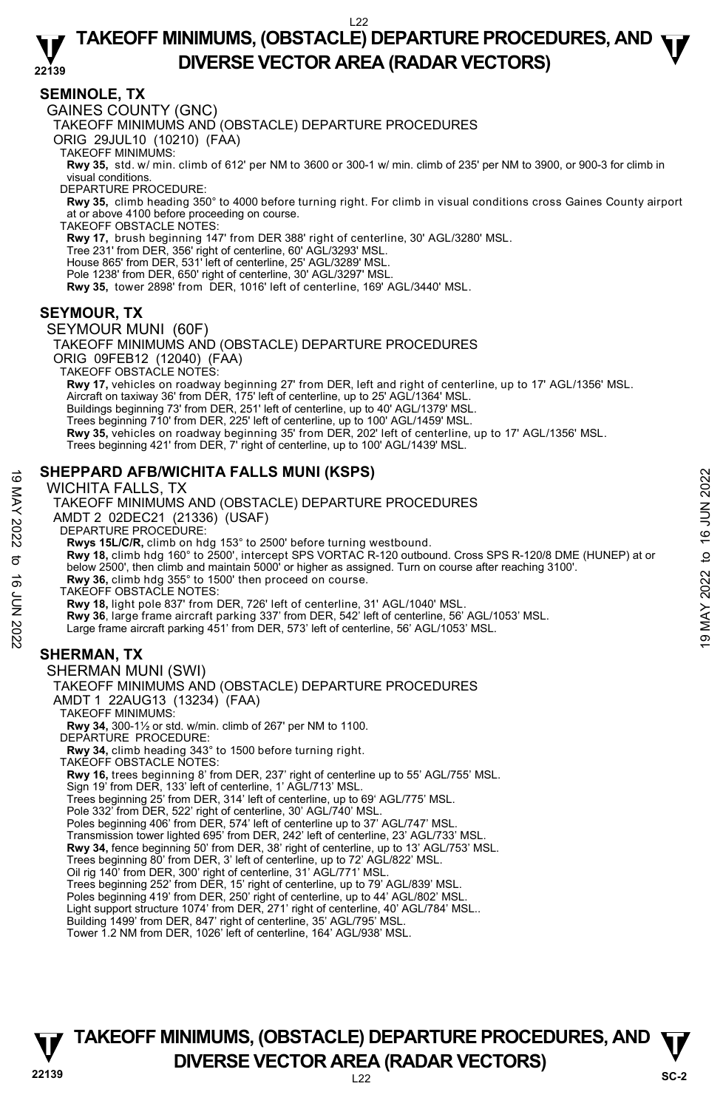#### **22139 TAKEOFF MINIMUMS, (OBSTACLE) DEPARTURE PROCEDURES, AND**  $\Psi$ **DIVERSE VECTOR AREA (RADAR VECTORS)**

#### **SEMINOLE, TX**

GAINES COUNTY (GNC)

TAKEOFF MINIMUMS AND (OBSTACLE) DEPARTURE PROCEDURES

ORIG 29JUL10 (10210) (FAA)

TAKEOFF MINIMUMS:

**Rwy 35,** std. w/ min. climb of 612' per NM to 3600 or 300-1 w/ min. climb of 235' per NM to 3900, or 900-3 for climb in visual conditions.

DEPARTURE PROCEDURE:

**Rwy 35,** climb heading 350° to 4000 before turning right. For climb in visual conditions cross Gaines County airport at or above 4100 before proceeding on course. TAKEOFF OBSTACLE NOTES:

**Rwy 17,** brush beginning 147' from DER 388' right of centerline, 30' AGL/3280' MSL.

Tree 231' from DER, 356' right of centerline, 60' AGL/3293' MSL.

House 865' from DER, 531' left of centerline, 25' AGL/3289' MSL.

Pole 1238' from DER, 650' right of centerline, 30' AGL/3297' MSL.

**Rwy 35,** tower 2898' from DER, 1016' left of centerline, 169' AGL/3440' MSL.

### **SEYMOUR, TX**

SEYMOUR MUNI (60F)

TAKEOFF MINIMUMS AND (OBSTACLE) DEPARTURE PROCEDURES ORIG 09FEB12 (12040) (FAA) TAKEOFF OBSTACLE NOTES: **Rwy 17,** vehicles on roadway beginning 27' from DER, left and right of centerline, up to 17' AGL/1356' MSL. Aircraft on taxiway 36' from DÉR, 175' left of centerline, up to 25' AGL/1364' MSL. Buildings beginning 73' from DER, 251' left of centerline, up to 40' AGL/1379' MSL. Trees beginning 710' from DER, 225' left of centerline, up to 100' AGL/1459' MSL. **Rwy 35,** vehicles on roadway beginning 35' from DER, 202' left of centerline, up to 17' AGL/1356' MSL. Trees beginning 421' from DER, 7' right of centerline, up to 100' AGL/1439' MSL.

### **SHEPPARD AFB/WICHITA FALLS MUNI (KSPS)**

WICHITA FALLS, TX

TAKEOFF MINIMUMS AND (OBSTACLE) DEPARTURE PROCEDURES AMDT 2 02DEC21 (21336) (USAF) DEPARTURE PROCEDURE: **Rwys 15L/C/R,** climb on hdg 153° to 2500' before turning westbound.<br>**Rwy 18,** climb hdg 160° to 2500', intercept SPS VORTAC R-120 outbound. Cross SPS R-120/8 DME (HUNEP) at or below 2500', then climb and maintain 5000' or higher as assigned. Turn on course after reaching 3100'. **Rwy 36,** climb hdg 355° to 1500' then proceed on course. TAKEOFF OBSTACLE NOTES: **Rwy 18,** light pole 837' from DER, 726' left of centerline, 31' AGL/1040' MSL. **Rwy 36**, large frame aircraft parking 337' from DER, 542' left of centerline, 56' AGL/1053' MSL. Large frame aircraft parking 451' from DER, 573' left of centerline, 56' AGL/1053' MSL. **SHERMAN, TX**  SHERMAN MUNI (SWI) TAKEOFF MINIMUMS AND (OBSTACLE) DEPARTURE PROCEDURES SHEPPARD AFBIWICHITA FALLS MUNI (KSPS)<br>
WCHITA FALLS MUNI (KSPS)<br>
TAKEOFF MINIMUMS AND (OBSTACLE) DEPARTURE PROCEDURES<br>
AMDT 2 02DEC21 (21336) (USAF)<br>
DEPARTURE PROCEDURE:<br>
No Revisit SLICK, climb on that 153° to 2500' be

AMDT 1 22AUG13 (13234) (FAA)

TAKEOFF MINIMUMS:

**Rwy 34,** 300-1½ or std. w/min. climb of 267' per NM to 1100.

DEPARTURE PROCEDURE:

**Rwy 34,** climb heading 343° to 1500 before turning right. TAKEOFF OBSTACLE NOTES:

**Rwy 16,** trees beginning 8' from DER, 237' right of centerline up to 55' AGL/755' MSL. Sign 19' from DER, 133' left of centerline, 1' AGL/713' MSL.

Trees beginning 25' from DER, 314' left of centerline, up to 69' AGL/775' MSL.

Pole 332' from DER, 522' right of centerline, 30' AGL/740' MSL.

Poles beginning 406' from DER, 574' left of centerline up to 37' AGL/747' MSL.

Transmission tower lighted 695' from DER, 242' left of centerline, 23' AGL/733' MSL.<br>**Rwy 34,** fence beginning 50' from DER, 38' right of centerline, up to 13' AGL/753' MSL.

Trees beginning 80' from DER, 3' left of centerline, up to 72' AGL/822' MSL.

Oil rig 140' from DER, 300' right of centerline, 31' AGL/771' MSL.

Trees beginning 252' from DER, 15' right of centerline, up to 79' AGL/839' MSL.

Poles beginning 419' from DER, 250' right of centerline, up to 44' AGL/802' MSL.

Light support structure 1074' from DER, 271' right of centerline, 40' AGL/784' MSL..

Building 1499' from DER, 847' right of centerline, 35' AGL/795' MSL. Tower 1.2 NM from DER, 1026' left of centerline, 164' AGL/938' MSL.

# **22139** L22 **TAKEOFF MINIMUMS, (OBSTACLE) DEPARTURE PROCEDURES, AND**  $\Psi$ **DIVERSE VECTOR AREA (RADAR VECTORS)** SC-2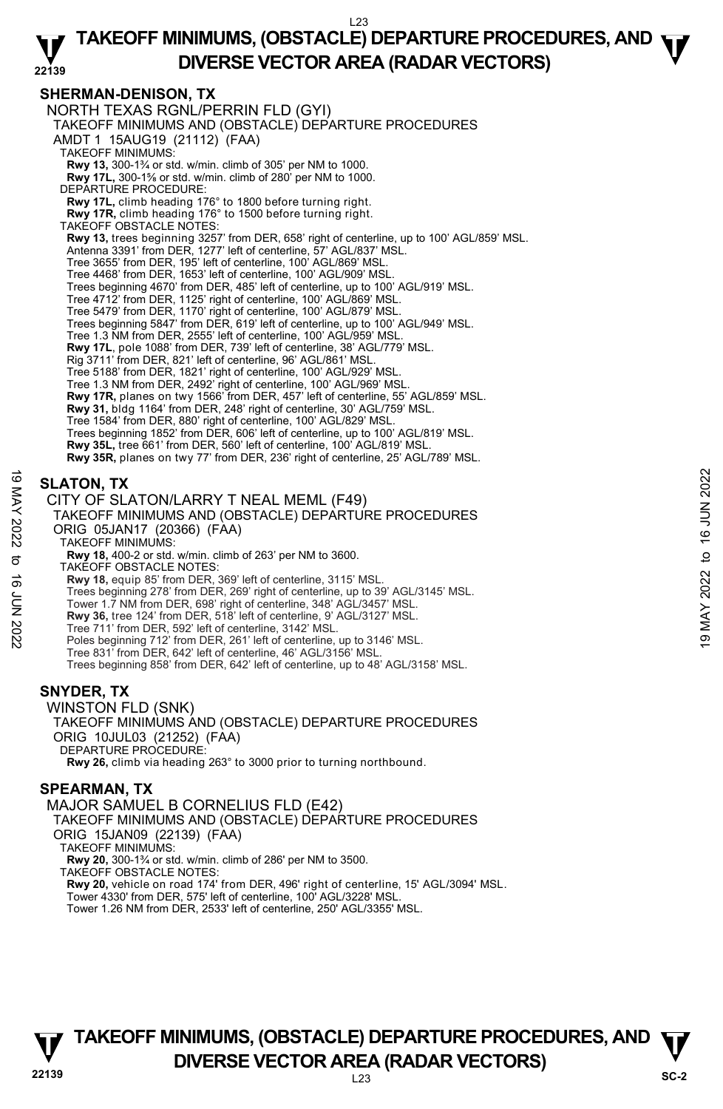#### **SHERMAN-DENISON, TX**

NORTH TEXAS RGNL/PERRIN FLD (GYI) TAKEOFF MINIMUMS AND (OBSTACLE) DEPARTURE PROCEDURES AMDT 1 15AUG19 (21112) (FAA) TAKEOFF MINIMUMS: **Rwy 13,** 300-1¾ or std. w/min. climb of 305' per NM to 1000.<br>**Rwy 17L,** 300-1⅔ or std. w/min. climb of 280' per NM to 1000. DEPARTURE PROCEDURE: **Rwy 17L,** climb heading 176° to 1800 before turning right. **Rwy 17R,** climb heading 176° to 1500 before turning right. TAKEOFF OBSTACLE NOTES: **Rwy 13,** trees beginning 3257' from DER, 658' right of centerline, up to 100' AGL/859' MSL. Antenna 3391' from DER, 1277' left of centerline, 57' AGL/837' MSL. Tree 3655' from DER, 195' left of centerline, 100' AGL/869' MSL. Tree 4468' from DER, 1653' left of centerline, 100' AGL/909' MSL. Trees beginning 4670' from DER, 485' left of centerline, up to 100' AGL/919' MSL. Tree 4712' from DER, 1125' right of centerline, 100' AGL/869' MSL. Tree 5479' from DER, 1170' right of centerline, 100' AGL/879' MSL. Trees beginning 5847' from DER, 619' left of centerline, up to 100' AGL/949' MSL. Tree 1.3 NM from DER, 2555' left of centerline, 100' AGL/959' MS **Rwy 17L**, pole 1088' from DER, 739' left of centerline, 38' AGL/779' MSL.<br>Rig 3711' from DER, 821' left of centerline, 96' AGL/861' MSL. Tree 5188' from DER, 1821' right of centerline, 100' AGL/929' MSL. Tree 1.3 NM from DER, 2492' right of centerline, 100' AGL/969' MSL. **Rwy 17R,** planes on twy 1566' from DER, 457' left of centerline, 55' AGL/859' MSL. **Rwy 31,** bldg 1164' from DER, 248' right of centerline, 30' AGL/759' MSL. Tree 1584' from DER, 880' right of centerline, 100' AGL/829' MSL. Trees beginning 1852' from DER, 606' left of centerline, up to 100' AGL/819' MSL. **Rwy 35L,** tree 661' from DER, 560' left of centerline, 100' AGL/819' MSL. **Rwy 35R,** planes on twy 77' from DER, 236' right of centerline, 25' AGL/789' MSL. **SLATON, TX**  CITY OF SLATON/LARRY T NEAL MEML (F49) TAKEOFF MINIMUMS AND (OBSTACLE) DEPARTURE PROCEDURES **SLATON, TX**<br>
SULTY OF SLATON/LARRY T NEAL MEML (F49)<br>
TAKEOFF MINIMUMS AND (OBSTACLE) DEPARTURE PROCEDURES<br>
ORIG 05JAN17 (20366) (FAA)<br>
TAKEOFF MINIMUMS:<br>
TAKEOFF MINIMUMS:<br>
SULTARE TO THE ASSEMATION OF 263' per NM to 3

# ORIG 05JAN17 (20366) (FAA)

TAKEOFF MINIMUMS:

**Rwy 18,** 400-2 or std. w/min. climb of 263' per NM to 3600.

TAKEOFF OBSTACLE NOTES:

**Rwy 18,** equip 85' from DER, 369' left of centerline, 3115' MSL.<br>Trees beginning 278' from DER, 269' right of centerline, up to 39' AGL/3145' MSL.

- Tower 1.7 NM from DER, 698' right of centerline, 348' AGL/3457' MSL.
- **Rwy 36,** tree 124' from DER, 518' left of centerline, 9' AGL/3127' MSL.
- 
- Tree 711' from DER, 592' left of centerline, 3142' MSL. Poles beginning 712' from DER, 261' left of centerline, up to 3146' MSL.
- Tree 831' from DER, 642' left of centerline, 46' AGL/3156' MSL.

Trees beginning 858' from DER, 642' left of centerline, up to 48' AGL/3158' MSL.

# **SNYDER, TX**

WINSTON FLD (SNK) TAKEOFF MINIMUMS AND (OBSTACLE) DEPARTURE PROCEDURES ORIG 10JUL03 (21252) (FAA) DEPARTURE PROCEDURE: **Rwy 26,** climb via heading 263° to 3000 prior to turning northbound.

#### **SPEARMAN, TX**

MAJOR SAMUEL B CORNELIUS FLD (E42) TAKEOFF MINIMUMS AND (OBSTACLE) DEPARTURE PROCEDURES ORIG 15JAN09 (22139) (FAA) TAKEOFF MINIMUMS: **Rwy 20,** 300-1¾ or std. w/min. climb of 286' per NM to 3500. TAKEOFF OBSTACLE NOTES: **Rwy 20,** vehicle on road 174' from DER, 496' right of centerline, 15' AGL/3094' MSL. Tower 4330' from DER, 575' left of centerline, 100' AGL/3228' MSL. Tower 1.26 NM from DER, 2533' left of centerline, 250' AGL/3355' MSL.

# **22139** L23 **TAKEOFF MINIMUMS, (OBSTACLE) DEPARTURE PROCEDURES, AND**  $\Psi$ **DIVERSE VECTOR AREA (RADAR VECTORS)** SC-2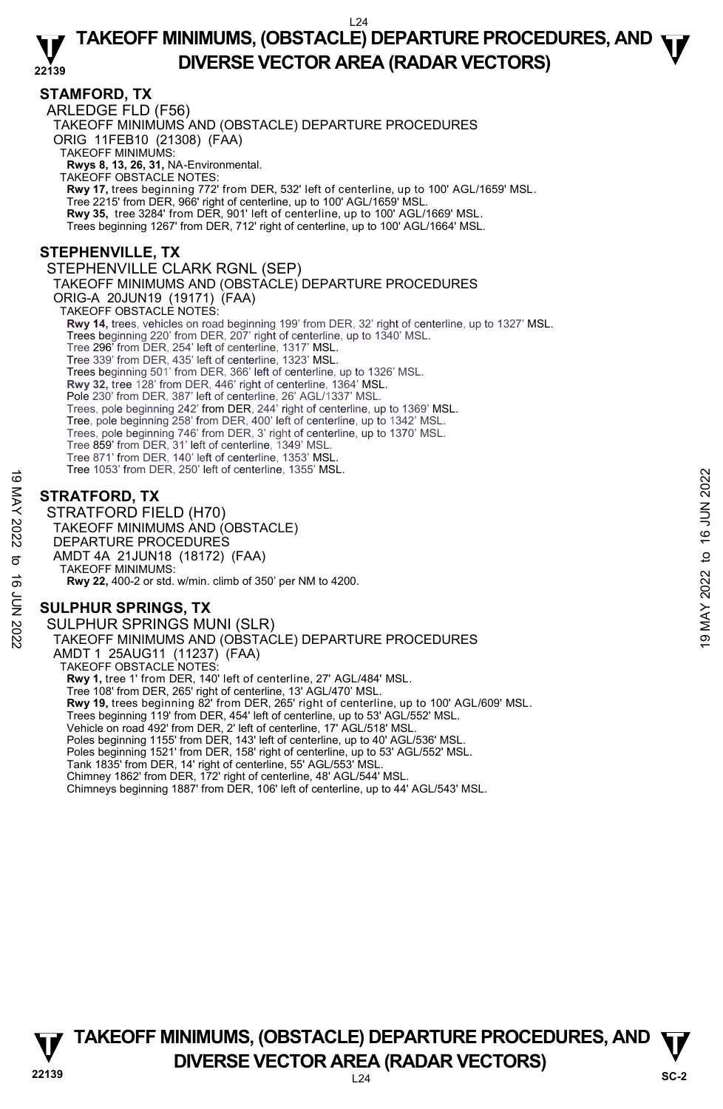#### **22139 TAKEOFF MINIMUMS, (OBSTACLE) DEPARTURE PROCEDURES, AND**  $\Psi$ **DIVERSE VECTOR AREA (RADAR VECTORS)**

#### **STAMFORD, TX**

ARLEDGE FLD (F56) TAKEOFF MINIMUMS AND (OBSTACLE) DEPARTURE PROCEDURES ORIG 11FEB10 (21308) (FAA) TAKEOFF MINIMUMS: **Rwys 8, 13, 26, 31,** NA-Environmental. TAKEOFF OBSTACLE NOTES: **Rwy 17,** trees beginning 772' from DER, 532' left of centerline, up to 100' AGL/1659' MSL. Tree 2215' from DER, 966' right of centerline, up to 100' AGL/1659' MSL. **Rwy 35,** tree 3284' from DER, 901' left of centerline, up to 100' AGL/1669' MSL. Trees beginning 1267' from DER, 712' right of centerline, up to 100' AGL/1664' MSL. **STEPHENVILLE, TX**  STEPHENVILLE CLARK RGNL (SEP) TAKEOFF MINIMUMS AND (OBSTACLE) DEPARTURE PROCEDURES ORIG-A 20JUN19 (19171) (FAA) TAKEOFF OBSTACLE NOTES: **Rwy 14,** trees, vehicles on road beginning 199' from DER, 32' right of centerline, up to 1327' MSL. Trees beginning 220' from DER, 207' right of centerline, up to 1340' MSL. Tree 296' from DER, 254' left of centerline, 1317' MSL. Tree 339' from DER, 435' left of centerline, 1323' MSL. Trees beginning 501' from DER, 366' left of centerline, up to 1326' MSL. **Rwy 32,** tree 128' from DER, 446' right of centerline, 1364' MSL. Pole 230' from DER, 387' left of centerline, 26' AGL/1337' MSL. Trees, pole beginning 242' from DER, 244' right of centerline, up to 1369' MSL. Tree, pole beginning 258' from DER, 400' left of centerline, up to 1342' MSL. Trees, pole beginning 746' from DER, 3' right of centerline, up to 1370' MSL. Tree 859' from DER, 31' left of centerline, 1349' MSL. Tree 871' from DER, 140' left of centerline, 1353' MSI Tree 1053' from DER, 250' left of centerline, 1355' MSL.

# **STRATFORD, TX**

STRATFORD FIELD (H70) TAKEOFF MINIMUMS AND (OBSTACLE) DEPARTURE PROCEDURES AMDT 4A 21JUN18 (18172) (FAA) TAKEOFF MINIMUMS: **Rwy 22,** 400-2 or std. w/min. climb of 350' per NM to 4200. The Toss Hom DER, 250 Tell of Generine, 1555 MSL.<br>  $\frac{1}{2}$ <br> **STRATFORD, TX**<br>
STRATFORD FIELD (H70)<br>
TAKEOFF MINIMUMS AND (OBSTACLE)<br>  $\frac{1}{2}$ <br>
AMDT 4A 21JUN18 (18172) (FAA)<br>
TAKEOFF MINIMUMS:<br>  $\frac{1}{2}$ <br> **SULPHUR SPRIN** 

# **SULPHUR SPRINGS, TX**

SULPHUR SPRINGS MUNI (SLR) TAKEOFF MINIMUMS AND (OBSTACLE) DEPARTURE PROCEDURES AMDT 1 25AUG11 (11237) (FAA) TAKEOFF OBSTACLE NOTES: **Rwy 1,** tree 1' from DER, 140' left of centerline, 27' AGL/484' MSL. Tree 108' from DER, 265' right of centerline, 13' AGL/470' MSL. **Rwy 19,** trees beginning 82' from DER, 265' right of centerline, up to 100' AGL/609' MSL. Trees beginning 119' from DER, 454' left of centerline, up to 53' AGL/552' MSL. Vehicle on road 492' from DER, 2' left of centerline, 17' AGL/518' MSL. Poles beginning 1155' from DER, 143' left of centerline, up to 40' AGL/536' MSL. Poles beginning 1521' from DER, 158' right of centerline, up to 53' AGL/552' MSL. Tank 1835' from DER, 14' right of centerline, 55' AGL/553' MSL. Chimney 1862' from DER, 172' right of centerline, 48' AGL/544' MSL. Chimneys beginning 1887' from DER, 106' left of centerline, up to 44' AGL/543' MSL.



**22139** L24 **TAKEOFF MINIMUMS, (OBSTACLE) DEPARTURE PROCEDURES, AND**  $\Psi$ **DIVERSE VECTOR AREA (RADAR VECTORS)** SC-2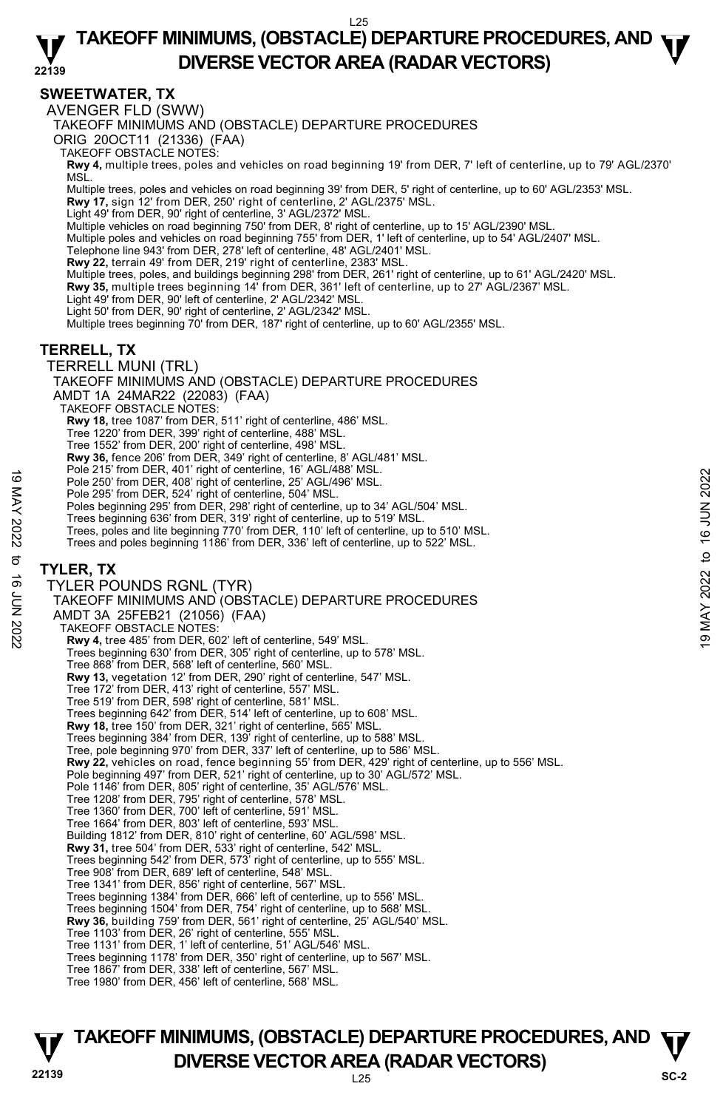#### **22139 TAKEOFF MINIMUMS, (OBSTACLE) DEPARTURE PROCEDURES, AND**  $\Psi$ **DIVERSE VECTOR AREA (RADAR VECTORS)**

# **SWEETWATER, TX**

AVENGER FLD (SWW)

TAKEOFF MINIMUMS AND (OBSTACLE) DEPARTURE PROCEDURES

ORIG 20OCT11 (21336) (FAA)

TAKEOFF OBSTACLE NOTES:

**Rwy 4,** multiple trees, poles and vehicles on road beginning 19' from DER, 7' left of centerline, up to 79' AGL/2370' MSL.

Multiple trees, poles and vehicles on road beginning 39' from DER, 5' right of centerline, up to 60' AGL/2353' MSL.

**Rwy 17,** sign 12' from DER, 250' right of centerline, 2' AGL/2375' MSL.

Light 49' from DER, 90' right of centerline, 3' AGL/2372' MSL.

Multiple vehicles on road beginning 750' from DER, 8' right of centerline, up to 15' AGL/2390' MSL.

Multiple poles and vehicles on road beginning 755' from DER, 1' left of centerline, up to 54' AGL/2407' MSL.

Telephone line 943' from DER, 278' left of centerline, 48' AGL/2401' MSL.<br>**Rwy 22,** terrain 49' from DER, 219' right of centerline, 2383' MSL.

Multiple trees, poles, and buildings beginning 298' from DER, 261' right of centerline, up to 61' AGL/2420' MSL.

**Rwy 35,** multiple trees beginning 14' from DER, 361' left of centerline, up to 27' AGL/2367' MSL.

Light 49' from DER, 90' left of centerline, 2' AGL/2342' MSL.

Light 50' from DER, 90' right of centerline, 2' AGL/2342' MSL.

Multiple trees beginning 70' from DER, 187' right of centerline, up to 60' AGL/2355' MSL.

#### **TERRELL, TX**

TERRELL MUNI (TRL)

TAKEOFF MINIMUMS AND (OBSTACLE) DEPARTURE PROCEDURES

AMDT 1A 24MAR22 (22083) (FAA)

TAKEOFF OBSTACLE NOTES:

**Rwy 18,** tree 1087' from DER, 511' right of centerline, 486' MSL.

Tree 1220' from DER, 399' right of centerline, 488' MSL.

Tree 1552' from DER, 200' right of centerline, 498' MSL.

**Rwy 36,** fence 206' from DER, 349' right of centerline, 8' AGL/481' MSL.

Pole 215' from DER, 401' right of centerline, 16' AGL/488' MSL.

Pole 250' from DER, 408' right of centerline, 25' AGL/496' MSL.

Pole 295' from DER, 524' right of centerline, 504' MSL.

Poles beginning 295' from DER, 298' right of centerline, up to 34' AGL/504' MSL.

Trees beginning 636' from DER, 319' right of centerline, up to 519' MSL.

Trees, poles and lite beginning 770' from DER, 110' left of centerline, up to 510' MSL.

Trees and poles beginning 1186' from DER, 336' left of centerline, up to 522' MSL.

#### **TYLER, TX**

TYLER POUNDS RGNL (TYR) TAKEOFF MINIMUMS AND (OBSTACLE) DEPARTURE PROCEDURES AMDT 3A 25FEB21 (21056) (FAA) TAKEOFF OBSTACLE NOTES: **Rwy 4,** tree 485' from DER, 602' left of centerline, 549' MSL. Trees beginning 630' from DER, 305' right of centerline, up to 578' MSL. Tree 868' from DER, 568' left of centerline, 560' MSL. **Rwy 13,** vegetation 12' from DER, 290' right of centerline, 547' MSL. Tree 172' from DER, 413' right of centerline, 557' MSL. Tree 519' from DER, 598' right of centerline, 581' MSL. Trees beginning 642' from DER, 514' left of centerline, up to 608' MSL. **Rwy 18,** tree 150' from DER, 321' right of centerline, 565' MSL. Trees beginning 384' from DER, 139' right of centerline, up to 588' MSL. Tree, pole beginning 970' from DER, 337' left of centerline, up to 586' MSL. **Rwy 22,** vehicles on road, fence beginning 55' from DER, 429' right of centerline, up to 556' MSL. Pole beginning 497' from DER, 521' right of centerline, up to 30' AGL/572' MSL. Pole 1146' from DER, 805' right of centerline, 35' AGL/576' MSL. Tree 1208' from DER, 795' right of centerline, 578' MSL. Tree 1360' from DER, 700' left of centerline, 591' MSL. Tree 1664' from DER, 803' left of centerline, 593' MSL. Building 1812' from DER, 810' right of centerline, 60' AGL/598' MSL. **Rwy 31,** tree 504' from DER, 533' right of centerline, 542' MSL. Trees beginning 542' from DER, 573' right of centerline, up to 555' MSL. Tree 908' from DER, 689' left of centerline, 548' MSL. Tree 1341' from DER, 856' right of centerline, 567' MSL. Trees beginning 1384' from DER, 666' left of centerline, up to 556' MSL. Trees beginning 1504' from DER, 754' right of centerline, up to 568' MSL. **Rwy 36,** building 759' from DER, 561' right of centerline, 25' AGL/540' MSL. Tree 1103' from DER, 26' right of centerline, 555' MSL. Tree 1131' from DER, 1' left of centerline, 51' AGL/546' MSL. Trees beginning 1178' from DER, 350' right of centerline, up to 567' MSL. Tree 1867' from DER, 338' left of centerline, 567' MSL. Tree 1980' from DER, 456' left of centerline, 568' MSL. Pole 250' from DER, 408' right of centerline, 19 AGL/496' MSL.<br>
Pole 250' from DER, 408' right of centerline, 504' MSL.<br>
Pole 295' from DER, 524' right of centerline, 504' MSL.<br>
Poles beginning 295' from DER, 319' right o

# **22139** L25 **TAKEOFF MINIMUMS, (OBSTACLE) DEPARTURE PROCEDURES, AND**  $\Psi$ **DIVERSE VECTOR AREA (RADAR VECTORS)** SC-2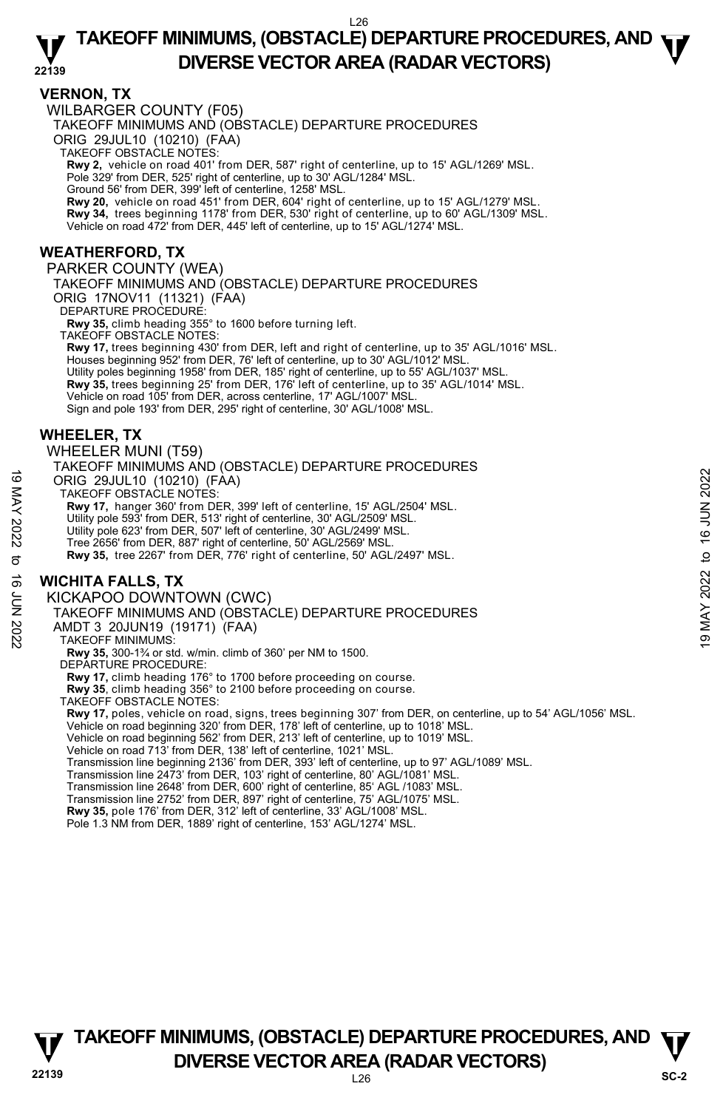#### **22139 TAKEOFF MINIMUMS, (OBSTACLE) DEPARTURE PROCEDURES, AND**  $\Psi$ **DIVERSE VECTOR AREA (RADAR VECTORS)**

#### **VERNON, TX**

WILBARGER COUNTY (F05)

TAKEOFF MINIMUMS AND (OBSTACLE) DEPARTURE PROCEDURES

ORIG 29JUL10 (10210) (FAA)

TAKEOFF OBSTACLE NOTES:

**Rwy 2,** vehicle on road 401' from DER, 587' right of centerline, up to 15' AGL/1269' MSL.<br>Pole 329' from DER, 525' right of centerline, up to 30' AGL/1284' MSL.

Ground 56' from DER, 399' left of centerline, 1258' MSL.

**Rwy 20,** vehicle on road 451' from DER, 604' right of centerline, up to 15' AGL/1279' MSL.

**Rwy 34,** trees beginning 1178' from DER, 530' right of centerline, up to 60' AGL/1309' MSL.

Vehicle on road 472' from DER, 445' left of centerline, up to 15' AGL/1274' MSL.

# **WEATHERFORD, TX**

PARKER COUNTY (WEA) TAKEOFF MINIMUMS AND (OBSTACLE) DEPARTURE PROCEDURES

ORIG 17NOV11 (11321) (FAA)

DEPARTURE PROCEDURE:

**Rwy 35,** climb heading 355° to 1600 before turning left.

TAKEOFF OBSTACLE NOTES:

**Rwy 17,** trees beginning 430' from DER, left and right of centerline, up to 35' AGL/1016' MSL. Houses beginning 952' from DER, 76' left of centerline, up to 30' AGL/1012' MSL. Utility poles beginning 1958' from DER, 185' right of centerline, up to 55' AGL/1037' MSL.<br>**Rwy 35,** trees beginning 25' from DER, 176' left of centerline, up to 35' AGL/1014' MSL. Vehicle on road 105' from DER, across centerline, 17' AGL/1007' MSL. Sign and pole 193' from DER, 295' right of centerline, 30' AGL/1008' MSL.

#### **WHEELER, TX**

WHEELER MUNI (T59)

TAKEOFF MINIMUMS AND (OBSTACLE) DEPARTURE PROCEDURES ORIG 29JUL10 (10210) (FAA) CONG 29JUL10 (10210) (FAA)<br>
TAKEOFF OBSTACLE NOTES:<br>
RW 17, hanger 360' from DER, 399' left of centerline, 15' AGL/2504' MSL.<br>
THE 2022 from DER, 513' right of centerline, 30' AGL/2509' MSL.<br>
Utility pole 623' from DER,

TAKEOFF OBSTACLE NOTES:

**Rwy 17,** hanger 360' from DER, 399' left of centerline, 15' AGL/2504' MSL.

Utility pole 593' from DER, 513' right of centerline, 30' AGL/2509' MSL.

Utility pole 623' from DER, 507' left of centerline, 30' AGL/2499' MSL.

Tree 2656' from DER, 887' right of centerline, 50' AGL/2569' MSL.

**Rwy 35,** tree 2267' from DER, 776' right of centerline, 50' AGL/2497' MSL.

# **WICHITA FALLS, TX**

KICKAPOO DOWNTOWN (CWC)

TAKEOFF MINIMUMS AND (OBSTACLE) DEPARTURE PROCEDURES

AMDT 3 20JUN19 (19171) (FAA)

TAKEOFF MINIMUMS:

**Rwy 35,** 300-1¾ or std. w/min. climb of 360' per NM to 1500.

DEPARTURE PROCEDURE:

**Rwy 17,** climb heading 176° to 1700 before proceeding on course.

**Rwy 35**, climb heading 356° to 2100 before proceeding on course.

TAKEOFF OBSTACLE NOTES:

**Rwy 17,** poles, vehicle on road, signs, trees beginning 307' from DER, on centerline, up to 54' AGL/1056' MSL.<br>Vehicle on road beginning 320' from DER, 178' left of centerline, up to 1018' MSL.<br>Vehicle on road beginning 5

Vehicle on road 713' from DER, 138' left of centerline, 1021' MSL.

Transmission line beginning 2136' from DER, 393' left of centerline, up to 97' AGL/1089' MSL.

Transmission line 2473' from DER, 103' right of centerline, 80' AGL/1081' MSL.

Transmission line 2648' from DER, 600' right of centerline, 85' AGL /1083' MSL. Transmission line 2752' from DER, 897' right of centerline, 75' AGL/1075' MSL.

**Rwy 35,** pole 176' from DER, 312' left of centerline, 33' AGL/1008' MSL. Pole 1.3 NM from DER, 1889' right of centerline, 153' AGL/1274' MSL.